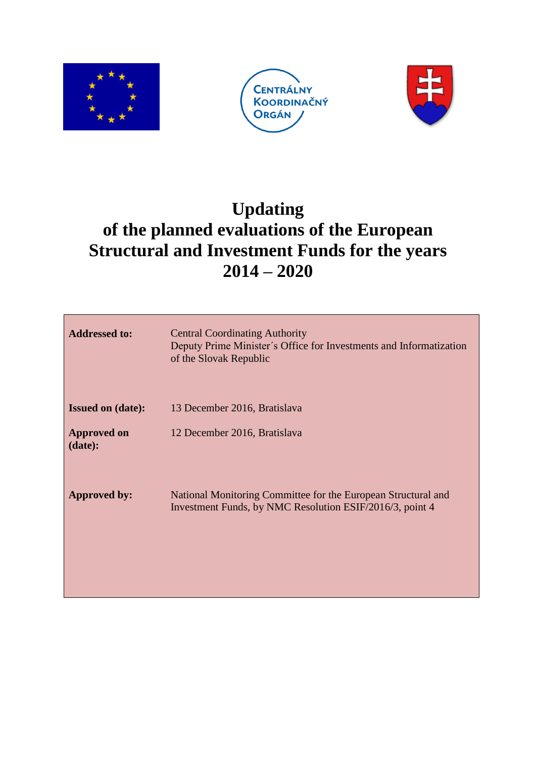





# **Updating of the planned evaluations of the European Structural and Investment Funds for the years 2014 – 2020**

| <b>Addressed to:</b>          | <b>Central Coordinating Authority</b><br>Deputy Prime Minister's Office for Investments and Informatization<br>of the Slovak Republic |
|-------------------------------|---------------------------------------------------------------------------------------------------------------------------------------|
| <b>Issued on (date):</b>      | 13 December 2016, Bratislava                                                                                                          |
| <b>Approved on</b><br>(data): | 12 December 2016, Bratislava                                                                                                          |
| <b>Approved by:</b>           | National Monitoring Committee for the European Structural and<br>Investment Funds, by NMC Resolution ESIF/2016/3, point 4             |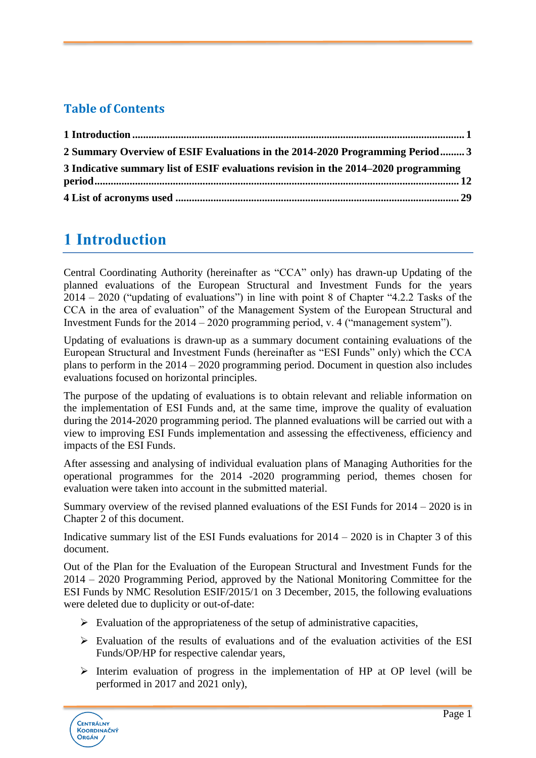#### **Table of Contents**

| 2 Summary Overview of ESIF Evaluations in the 2014-2020 Programming Period 3        |  |
|-------------------------------------------------------------------------------------|--|
| 3 Indicative summary list of ESIF evaluations revision in the 2014–2020 programming |  |
|                                                                                     |  |
|                                                                                     |  |

#### <span id="page-1-0"></span>**1 Introduction**

Central Coordinating Authority (hereinafter as "CCA" only) has drawn-up Updating of the planned evaluations of the European Structural and Investment Funds for the years 2014 – 2020 ("updating of evaluations") in line with point 8 of Chapter "4.2.2 Tasks of the CCA in the area of evaluation" of the Management System of the European Structural and Investment Funds for the 2014 – 2020 programming period, v. 4 ("management system").

Updating of evaluations is drawn-up as a summary document containing evaluations of the European Structural and Investment Funds (hereinafter as "ESI Funds" only) which the CCA plans to perform in the 2014 – 2020 programming period. Document in question also includes evaluations focused on horizontal principles.

The purpose of the updating of evaluations is to obtain relevant and reliable information on the implementation of ESI Funds and, at the same time, improve the quality of evaluation during the 2014-2020 programming period. The planned evaluations will be carried out with a view to improving ESI Funds implementation and assessing the effectiveness, efficiency and impacts of the ESI Funds.

After assessing and analysing of individual evaluation plans of Managing Authorities for the operational programmes for the 2014 -2020 programming period, themes chosen for evaluation were taken into account in the submitted material.

Summary overview of the revised planned evaluations of the ESI Funds for 2014 – 2020 is in Chapter 2 of this document.

Indicative summary list of the ESI Funds evaluations for 2014 – 2020 is in Chapter 3 of this document.

Out of the Plan for the Evaluation of the European Structural and Investment Funds for the 2014 – 2020 Programming Period, approved by the National Monitoring Committee for the ESI Funds by NMC Resolution ESIF/2015/1 on 3 December, 2015, the following evaluations were deleted due to duplicity or out-of-date:

- $\triangleright$  Evaluation of the appropriateness of the setup of administrative capacities,
- $\triangleright$  Evaluation of the results of evaluations and of the evaluation activities of the ESI Funds/OP/HP for respective calendar years,
- $\triangleright$  Interim evaluation of progress in the implementation of HP at OP level (will be performed in 2017 and 2021 only),

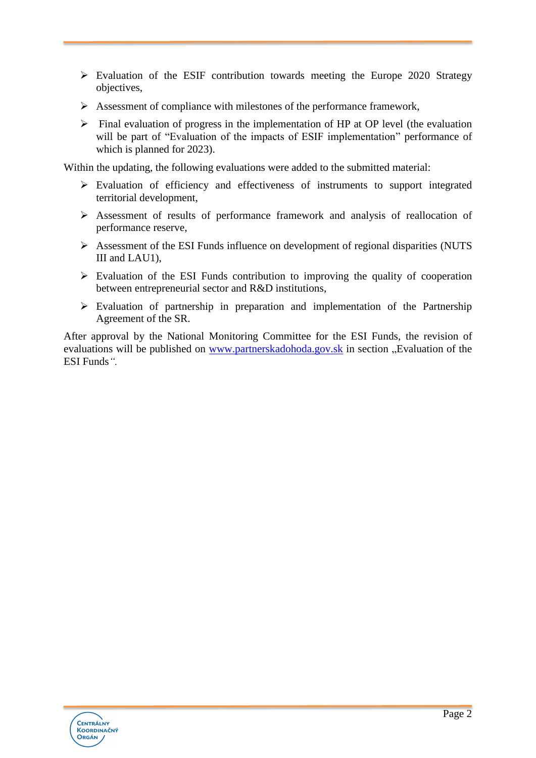- $\triangleright$  Evaluation of the ESIF contribution towards meeting the Europe 2020 Strategy objectives,
- $\triangleright$  Assessment of compliance with milestones of the performance framework,
- $\triangleright$  Final evaluation of progress in the implementation of HP at OP level (the evaluation will be part of "Evaluation of the impacts of ESIF implementation" performance of which is planned for 2023).

Within the updating, the following evaluations were added to the submitted material:

- $\triangleright$  Evaluation of efficiency and effectiveness of instruments to support integrated territorial development,
- Assessment of results of performance framework and analysis of reallocation of performance reserve,
- Assessment of the ESI Funds influence on development of regional disparities (NUTS III and LAU1),
- $\triangleright$  Evaluation of the ESI Funds contribution to improving the quality of cooperation between entrepreneurial sector and R&D institutions,
- $\triangleright$  Evaluation of partnership in preparation and implementation of the Partnership Agreement of the SR.

After approval by the National Monitoring Committee for the ESI Funds, the revision of evaluations will be published on [www.partnerskadohoda.gov.sk](http://www.partnerskadohoda.gov.sk/) in section "Evaluation of the ESI Funds*".*

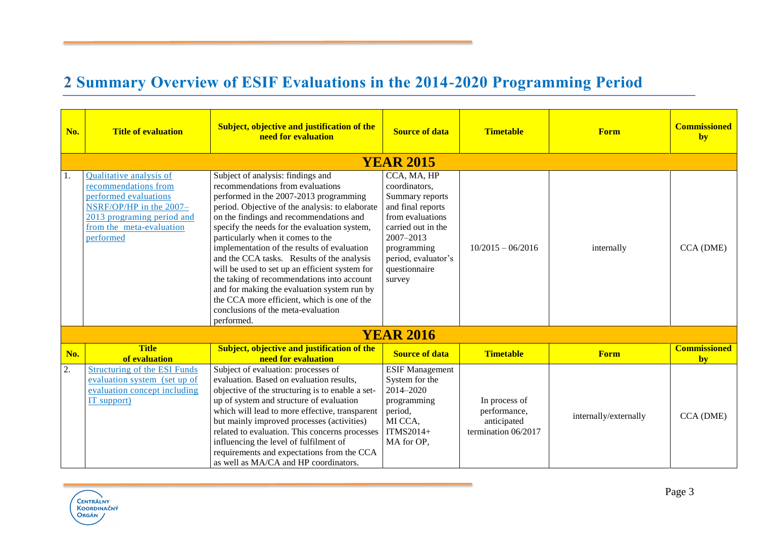### **2 Summary Overview of ESIF Evaluations in the 2014-2020 Programming Period**

<span id="page-3-0"></span>

| No. | <b>Title of evaluation</b>                                                                                                                                                 | <b>Subject, objective and justification of the</b><br>need for evaluation                                                                                                                                                                                                                                                                                                                                                                                                                                                                                                                                                                         | <b>Source of data</b>                                                                                                                                                                        | <b>Timetable</b>                                                    | <b>Form</b>           | <b>Commissioned</b><br>by |
|-----|----------------------------------------------------------------------------------------------------------------------------------------------------------------------------|---------------------------------------------------------------------------------------------------------------------------------------------------------------------------------------------------------------------------------------------------------------------------------------------------------------------------------------------------------------------------------------------------------------------------------------------------------------------------------------------------------------------------------------------------------------------------------------------------------------------------------------------------|----------------------------------------------------------------------------------------------------------------------------------------------------------------------------------------------|---------------------------------------------------------------------|-----------------------|---------------------------|
|     |                                                                                                                                                                            |                                                                                                                                                                                                                                                                                                                                                                                                                                                                                                                                                                                                                                                   | <b>YEAR 2015</b>                                                                                                                                                                             |                                                                     |                       |                           |
| 1.  | Qualitative analysis of<br>recommendations from<br>performed evaluations<br>NSRF/OP/HP in the 2007-<br>2013 programing period and<br>from the meta-evaluation<br>performed | Subject of analysis: findings and<br>recommendations from evaluations<br>performed in the 2007-2013 programming<br>period. Objective of the analysis: to elaborate<br>on the findings and recommendations and<br>specify the needs for the evaluation system,<br>particularly when it comes to the<br>implementation of the results of evaluation<br>and the CCA tasks. Results of the analysis<br>will be used to set up an efficient system for<br>the taking of recommendations into account<br>and for making the evaluation system run by<br>the CCA more efficient, which is one of the<br>conclusions of the meta-evaluation<br>performed. | CCA, MA, HP<br>coordinators,<br>Summary reports<br>and final reports<br>from evaluations<br>carried out in the<br>2007-2013<br>programming<br>period, evaluator's<br>questionnaire<br>survey | $10/2015 - 06/2016$                                                 | internally            | CCA (DME)                 |
|     |                                                                                                                                                                            |                                                                                                                                                                                                                                                                                                                                                                                                                                                                                                                                                                                                                                                   | <b>YEAR 2016</b>                                                                                                                                                                             |                                                                     |                       |                           |
| No. | <b>Title</b><br>of evaluation                                                                                                                                              | Subject, objective and justification of the<br>need for evaluation                                                                                                                                                                                                                                                                                                                                                                                                                                                                                                                                                                                | <b>Source of data</b>                                                                                                                                                                        | <b>Timetable</b>                                                    | <b>Form</b>           | <b>Commissioned</b><br>by |
| 2.  | <b>Structuring of the ESI Funds</b><br>evaluation system (set up of<br>evaluation concept including<br>IT support)                                                         | Subject of evaluation: processes of<br>evaluation. Based on evaluation results,<br>objective of the structuring is to enable a set-<br>up of system and structure of evaluation<br>which will lead to more effective, transparent<br>but mainly improved processes (activities)<br>related to evaluation. This concerns processes<br>influencing the level of fulfilment of<br>requirements and expectations from the CCA<br>as well as MA/CA and HP coordinators.                                                                                                                                                                                | <b>ESIF Management</b><br>System for the<br>2014-2020<br>programming<br>period,<br>MI CCA,<br>ITMS2014+<br>MA for OP,                                                                        | In process of<br>performance,<br>anticipated<br>termination 06/2017 | internally/externally | CCA (DME)                 |

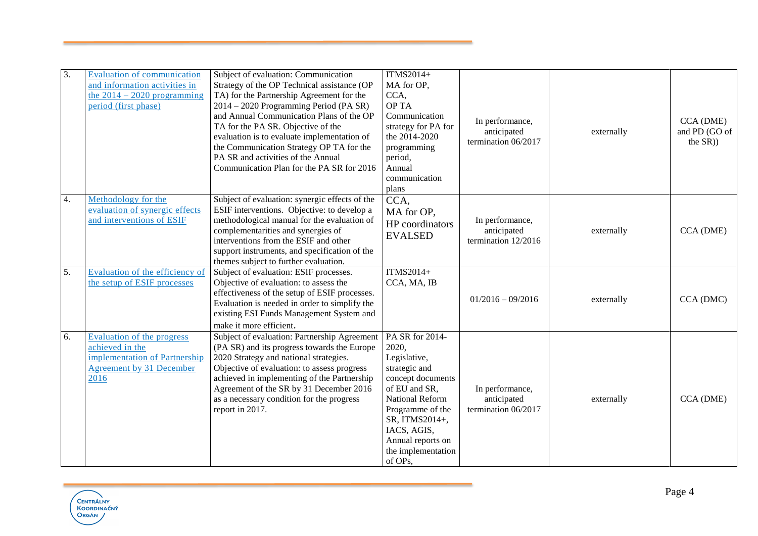| 3.         | <b>Evaluation of communication</b><br>and information activities in<br>the $2014 - 2020$ programming<br>period (first phase) | Subject of evaluation: Communication<br>Strategy of the OP Technical assistance (OP<br>TA) for the Partnership Agreement for the<br>2014 - 2020 Programming Period (PA SR)<br>and Annual Communication Plans of the OP<br>TA for the PA SR. Objective of the<br>evaluation is to evaluate implementation of<br>the Communication Strategy OP TA for the<br>PA SR and activities of the Annual<br>Communication Plan for the PA SR for 2016 | ITMS2014+<br>MA for OP,<br>CCA,<br>OP TA<br>Communication<br>strategy for PA for<br>the 2014-2020<br>programming<br>period,<br>Annual<br>communication<br>plans                                                               | In performance,<br>anticipated<br>termination 06/2017 | externally | CCA (DME)<br>and PD (GO of<br>the $SR$ )) |
|------------|------------------------------------------------------------------------------------------------------------------------------|--------------------------------------------------------------------------------------------------------------------------------------------------------------------------------------------------------------------------------------------------------------------------------------------------------------------------------------------------------------------------------------------------------------------------------------------|-------------------------------------------------------------------------------------------------------------------------------------------------------------------------------------------------------------------------------|-------------------------------------------------------|------------|-------------------------------------------|
| 4.         | Methodology for the<br>evaluation of synergic effects<br>and interventions of ESIF                                           | Subject of evaluation: synergic effects of the<br>ESIF interventions. Objective: to develop a<br>methodological manual for the evaluation of<br>complementarities and synergies of<br>interventions from the ESIF and other<br>support instruments, and specification of the<br>themes subject to further evaluation.                                                                                                                      | CCA,<br>MA for OP,<br>HP coordinators<br><b>EVALSED</b>                                                                                                                                                                       | In performance,<br>anticipated<br>termination 12/2016 | externally | CCA (DME)                                 |
| 5.         | Evaluation of the efficiency of<br>the setup of ESIF processes                                                               | Subject of evaluation: ESIF processes.<br>Objective of evaluation: to assess the<br>effectiveness of the setup of ESIF processes.<br>Evaluation is needed in order to simplify the<br>existing ESI Funds Management System and<br>make it more efficient.                                                                                                                                                                                  | <b>ITMS2014+</b><br>CCA, MA, IB                                                                                                                                                                                               | $01/2016 - 09/2016$                                   | externally | CCA (DMC)                                 |
| 6.<br>2016 | Evaluation of the progress<br>achieved in the<br>implementation of Partnership<br>Agreement by 31 December                   | Subject of evaluation: Partnership Agreement<br>(PA SR) and its progress towards the Europe<br>2020 Strategy and national strategies.<br>Objective of evaluation: to assess progress<br>achieved in implementing of the Partnership<br>Agreement of the SR by 31 December 2016<br>as a necessary condition for the progress<br>report in 2017.                                                                                             | PA SR for 2014-<br>2020,<br>Legislative,<br>strategic and<br>concept documents<br>of EU and SR,<br>National Reform<br>Programme of the<br>SR, ITMS2014+,<br>IACS, AGIS,<br>Annual reports on<br>the implementation<br>of OPs, | In performance,<br>anticipated<br>termination 06/2017 | externally | CCA (DME)                                 |

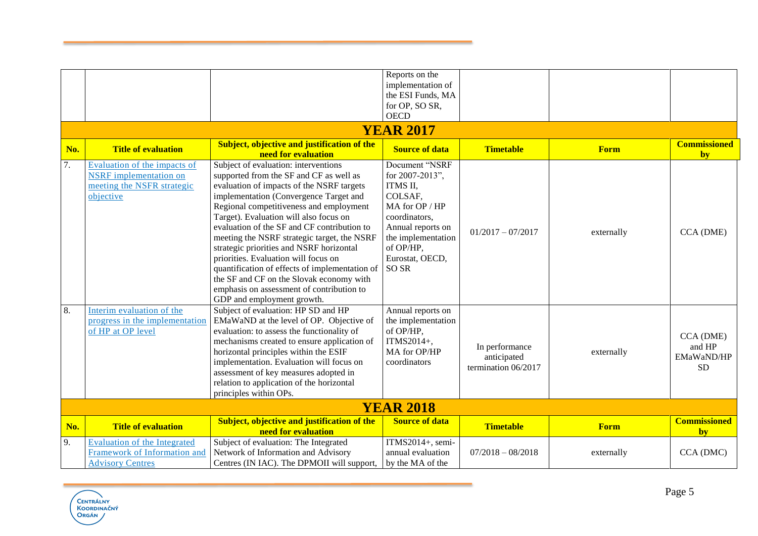|     |                                                                                                          |                                                                                                                                                                                                                                                                                                                                                                                                                                                                                                                                                                                                                        | Reports on the<br>implementation of<br>the ESI Funds, MA<br>for OP, SO SR,                                                                                                                 |                                                      |             |                                                |
|-----|----------------------------------------------------------------------------------------------------------|------------------------------------------------------------------------------------------------------------------------------------------------------------------------------------------------------------------------------------------------------------------------------------------------------------------------------------------------------------------------------------------------------------------------------------------------------------------------------------------------------------------------------------------------------------------------------------------------------------------------|--------------------------------------------------------------------------------------------------------------------------------------------------------------------------------------------|------------------------------------------------------|-------------|------------------------------------------------|
|     |                                                                                                          |                                                                                                                                                                                                                                                                                                                                                                                                                                                                                                                                                                                                                        | <b>OECD</b>                                                                                                                                                                                |                                                      |             |                                                |
|     |                                                                                                          |                                                                                                                                                                                                                                                                                                                                                                                                                                                                                                                                                                                                                        | <b>YEAR 2017</b>                                                                                                                                                                           |                                                      |             |                                                |
| No. | <b>Title of evaluation</b>                                                                               | <b>Subject, objective and justification of the</b><br>need for evaluation                                                                                                                                                                                                                                                                                                                                                                                                                                                                                                                                              | <b>Source of data</b>                                                                                                                                                                      | <b>Timetable</b>                                     | <b>Form</b> | <b>Commissioned</b><br>by                      |
| 7.  | Evaluation of the impacts of<br><b>NSRF</b> implementation on<br>meeting the NSFR strategic<br>objective | Subject of evaluation: interventions<br>supported from the SF and CF as well as<br>evaluation of impacts of the NSRF targets<br>implementation (Convergence Target and<br>Regional competitiveness and employment<br>Target). Evaluation will also focus on<br>evaluation of the SF and CF contribution to<br>meeting the NSRF strategic target, the NSRF<br>strategic priorities and NSRF horizontal<br>priorities. Evaluation will focus on<br>quantification of effects of implementation of<br>the SF and CF on the Slovak economy with<br>emphasis on assessment of contribution to<br>GDP and employment growth. | Document "NSRF<br>for 2007-2013",<br>ITMS II,<br>COLSAF,<br>MA for OP / HP<br>coordinators,<br>Annual reports on<br>the implementation<br>of OP/HP,<br>Eurostat, OECD,<br>SO <sub>SR</sub> | $01/2017 - 07/2017$                                  | externally  | CCA (DME)                                      |
| 8.  | Interim evaluation of the<br>progress in the implementation<br>of HP at OP level                         | Subject of evaluation: HP SD and HP<br>EMaWaND at the level of OP. Objective of<br>evaluation: to assess the functionality of<br>mechanisms created to ensure application of<br>horizontal principles within the ESIF<br>implementation. Evaluation will focus on<br>assessment of key measures adopted in<br>relation to application of the horizontal<br>principles within OPs.                                                                                                                                                                                                                                      | Annual reports on<br>the implementation<br>of OP/HP,<br>ITMS2014+,<br>MA for OP/HP<br>coordinators                                                                                         | In performance<br>anticipated<br>termination 06/2017 | externally  | CCA (DME)<br>and HP<br>EMaWaND/HP<br><b>SD</b> |
|     |                                                                                                          |                                                                                                                                                                                                                                                                                                                                                                                                                                                                                                                                                                                                                        | <b>YEAR 2018</b>                                                                                                                                                                           |                                                      |             |                                                |
| No. | <b>Title of evaluation</b>                                                                               | <b>Subject, objective and justification of the</b><br>need for evaluation                                                                                                                                                                                                                                                                                                                                                                                                                                                                                                                                              | <b>Source of data</b>                                                                                                                                                                      | <b>Timetable</b>                                     | <b>Form</b> | <b>Commissioned</b><br>by                      |
| 9.  | <b>Evaluation of the Integrated</b><br>Framework of Information and<br><b>Advisory Centres</b>           | Subject of evaluation: The Integrated<br>Network of Information and Advisory<br>Centres (IN IAC). The DPMOII will support,                                                                                                                                                                                                                                                                                                                                                                                                                                                                                             | ITMS2014+, semi-<br>annual evaluation<br>by the MA of the                                                                                                                                  | $07/2018 - 08/2018$                                  | externally  | CCA (DMC)                                      |

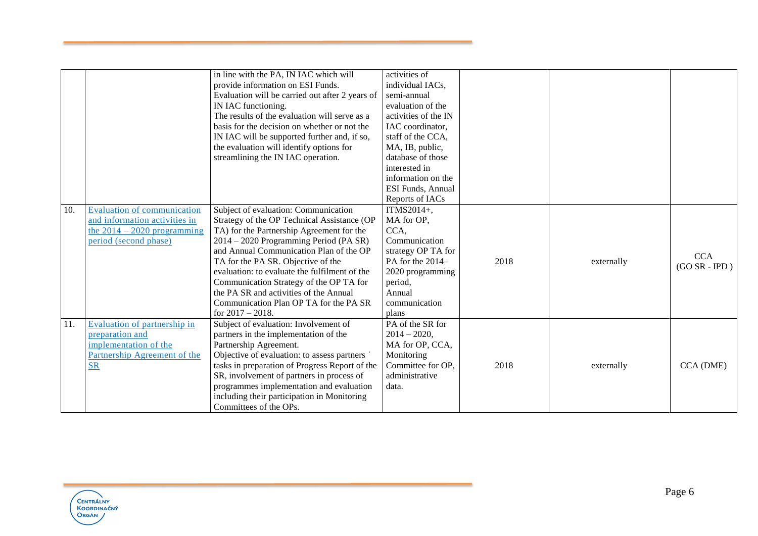|     |                                    | in line with the PA, IN IAC which will          | activities of        |      |            |                 |
|-----|------------------------------------|-------------------------------------------------|----------------------|------|------------|-----------------|
|     |                                    |                                                 |                      |      |            |                 |
|     |                                    | provide information on ESI Funds.               | individual IACs,     |      |            |                 |
|     |                                    | Evaluation will be carried out after 2 years of | semi-annual          |      |            |                 |
|     |                                    | IN IAC functioning.                             | evaluation of the    |      |            |                 |
|     |                                    | The results of the evaluation will serve as a   | activities of the IN |      |            |                 |
|     |                                    | basis for the decision on whether or not the    | IAC coordinator,     |      |            |                 |
|     |                                    | IN IAC will be supported further and, if so,    | staff of the CCA.    |      |            |                 |
|     |                                    | the evaluation will identify options for        | MA, IB, public,      |      |            |                 |
|     |                                    | streamlining the IN IAC operation.              | database of those    |      |            |                 |
|     |                                    |                                                 | interested in        |      |            |                 |
|     |                                    |                                                 | information on the   |      |            |                 |
|     |                                    |                                                 | ESI Funds, Annual    |      |            |                 |
|     |                                    |                                                 | Reports of IACs      |      |            |                 |
| 10. | <b>Evaluation of communication</b> | Subject of evaluation: Communication            | ITMS2014+,           |      |            |                 |
|     | and information activities in      | Strategy of the OP Technical Assistance (OP     | MA for OP,           |      |            |                 |
|     | the $2014 - 2020$ programming      | TA) for the Partnership Agreement for the       | CCA,                 |      |            |                 |
|     | period (second phase)              | 2014 – 2020 Programming Period (PA SR)          | Communication        |      |            |                 |
|     |                                    | and Annual Communication Plan of the OP         | strategy OP TA for   |      |            |                 |
|     |                                    | TA for the PA SR. Objective of the              | PA for the 2014-     | 2018 | externally | <b>CCA</b>      |
|     |                                    | evaluation: to evaluate the fulfilment of the   | 2020 programming     |      |            | $(GO SR - IPD)$ |
|     |                                    | Communication Strategy of the OP TA for         | period,              |      |            |                 |
|     |                                    | the PA SR and activities of the Annual          | Annual               |      |            |                 |
|     |                                    | Communication Plan OP TA for the PA SR          | communication        |      |            |                 |
|     |                                    | for $2017 - 2018$ .                             | plans                |      |            |                 |
| 11. | Evaluation of partnership in       | Subject of evaluation: Involvement of           | PA of the SR for     |      |            |                 |
|     | preparation and                    | partners in the implementation of the           | $2014 - 2020$ ,      |      |            |                 |
|     | implementation of the              | Partnership Agreement.                          | MA for OP, CCA,      |      |            |                 |
|     | Partnership Agreement of the       | Objective of evaluation: to assess partners     | Monitoring           |      |            |                 |
|     | $S_{R}$                            | tasks in preparation of Progress Report of the  | Committee for OP.    | 2018 | externally | CCA (DME)       |
|     |                                    | SR, involvement of partners in process of       | administrative       |      |            |                 |
|     |                                    | programmes implementation and evaluation        | data.                |      |            |                 |
|     |                                    | including their participation in Monitoring     |                      |      |            |                 |
|     |                                    | Committees of the OPs.                          |                      |      |            |                 |

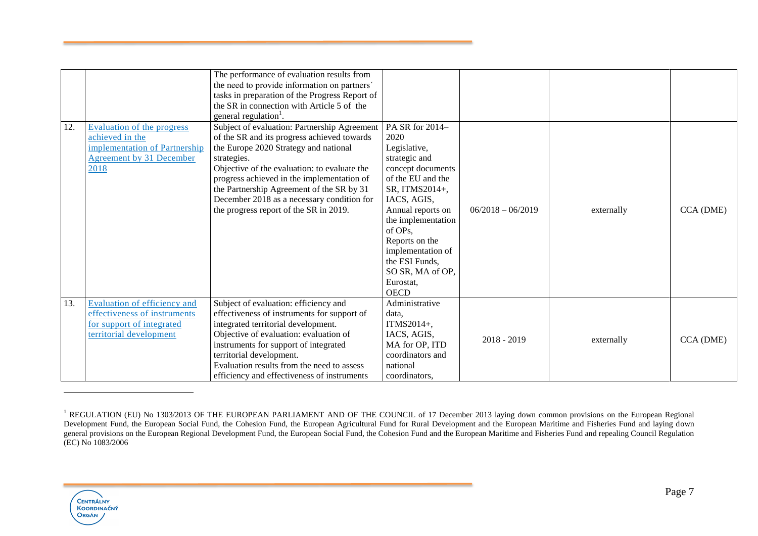|     |                               | The performance of evaluation results from<br>the need to provide information on partners' |                    |                     |            |           |
|-----|-------------------------------|--------------------------------------------------------------------------------------------|--------------------|---------------------|------------|-----------|
|     |                               | tasks in preparation of the Progress Report of                                             |                    |                     |            |           |
|     |                               | the SR in connection with Article 5 of the                                                 |                    |                     |            |           |
|     |                               | general regulation <sup>1</sup> .                                                          |                    |                     |            |           |
| 12. | Evaluation of the progress    | Subject of evaluation: Partnership Agreement                                               | PA SR for 2014-    |                     |            |           |
|     | achieved in the               | of the SR and its progress achieved towards                                                | 2020               |                     |            |           |
|     | implementation of Partnership | the Europe 2020 Strategy and national                                                      | Legislative,       |                     |            |           |
|     | Agreement by 31 December      | strategies.                                                                                | strategic and      |                     |            |           |
|     | 2018                          | Objective of the evaluation: to evaluate the                                               | concept documents  |                     |            |           |
|     |                               | progress achieved in the implementation of                                                 | of the EU and the  |                     |            |           |
|     |                               | the Partnership Agreement of the SR by 31                                                  | SR, ITMS2014+,     |                     |            |           |
|     |                               | December 2018 as a necessary condition for                                                 | IACS, AGIS,        |                     |            |           |
|     |                               | the progress report of the SR in 2019.                                                     | Annual reports on  | $06/2018 - 06/2019$ | externally | CCA (DME) |
|     |                               |                                                                                            | the implementation |                     |            |           |
|     |                               |                                                                                            | of OPs,            |                     |            |           |
|     |                               |                                                                                            | Reports on the     |                     |            |           |
|     |                               |                                                                                            | implementation of  |                     |            |           |
|     |                               |                                                                                            | the ESI Funds,     |                     |            |           |
|     |                               |                                                                                            | SO SR, MA of OP,   |                     |            |           |
|     |                               |                                                                                            | Eurostat,          |                     |            |           |
|     |                               |                                                                                            | <b>OECD</b>        |                     |            |           |
| 13. | Evaluation of efficiency and  | Subject of evaluation: efficiency and                                                      | Administrative     |                     |            |           |
|     | effectiveness of instruments  | effectiveness of instruments for support of                                                | data,              |                     |            |           |
|     | for support of integrated     | integrated territorial development.                                                        | ITMS $2014+$ ,     |                     |            |           |
|     | territorial development       | Objective of evaluation: evaluation of                                                     | IACS, AGIS,        | $2018 - 2019$       |            |           |
|     |                               | instruments for support of integrated                                                      | MA for OP, ITD     |                     | externally | CCA (DME) |
|     |                               | territorial development.                                                                   | coordinators and   |                     |            |           |
|     |                               | Evaluation results from the need to assess                                                 | national           |                     |            |           |
|     |                               | efficiency and effectiveness of instruments                                                | coordinators,      |                     |            |           |

<sup>&</sup>lt;sup>1</sup> REGULATION (EU) No 1303/2013 OF THE EUROPEAN PARLIAMENT AND OF THE COUNCIL of 17 December 2013 laying down common provisions on the European Regional Development Fund, the European Social Fund, the Cohesion Fund, the European Agricultural Fund for Rural Development and the European Maritime and Fisheries Fund and laying down general provisions on the European Regional Development Fund, the European Social Fund, the Cohesion Fund and the European Maritime and Fisheries Fund and repealing Council Regulation (EC) No 1083/2006



 $\overline{a}$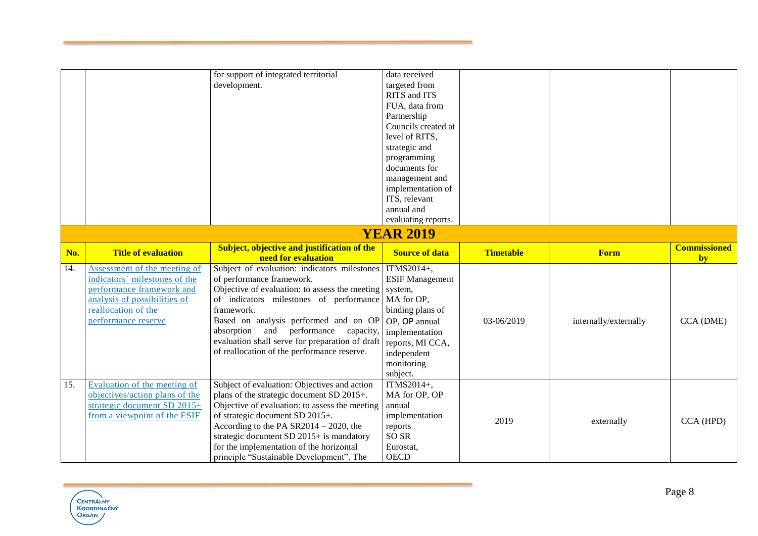|     |                                                                                                                                                                          | for support of integrated territorial<br>development.                                                                                                                                                                                                                                                                                                                                 | data received<br>targeted from<br>RITS and ITS<br>FUA, data from<br>Partnership<br>Councils created at<br>level of RITS,<br>strategic and<br>programming<br>documents for<br>management and<br>implementation of<br>ITS, relevant<br>annual and<br>evaluating reports. |                  |                       |                           |
|-----|--------------------------------------------------------------------------------------------------------------------------------------------------------------------------|---------------------------------------------------------------------------------------------------------------------------------------------------------------------------------------------------------------------------------------------------------------------------------------------------------------------------------------------------------------------------------------|------------------------------------------------------------------------------------------------------------------------------------------------------------------------------------------------------------------------------------------------------------------------|------------------|-----------------------|---------------------------|
|     |                                                                                                                                                                          |                                                                                                                                                                                                                                                                                                                                                                                       | <b>YEAR 2019</b>                                                                                                                                                                                                                                                       |                  |                       |                           |
| No. | <b>Title of evaluation</b>                                                                                                                                               | <b>Subject, objective and justification of the</b><br>need for evaluation                                                                                                                                                                                                                                                                                                             | <b>Source of data</b>                                                                                                                                                                                                                                                  | <b>Timetable</b> | Form                  | <b>Commissioned</b><br>by |
| 14. | Assessment of the meeting of<br>indicators' milestones of the<br>performance framework and<br>analysis of possibilities of<br>reallocation of the<br>performance reserve | Subject of evaluation: indicators milestones TTMS2014+,<br>of performance framework.<br>Objective of evaluation: to assess the meeting<br>of indicators milestones of performance<br>framework.<br>Based on analysis performed and on OP<br>absorption and performance<br>capacity,<br>evaluation shall serve for preparation of draft<br>of reallocation of the performance reserve. | <b>ESIF Management</b><br>system,<br>MA for OP,<br>binding plans of<br>OP, OP annual<br>implementation<br>reports, MI CCA,<br>independent<br>monitoring<br>subject.                                                                                                    | 03-06/2019       | internally/externally | CCA (DME)                 |
| 15. | Evaluation of the meeting of<br>objectives/action plans of the<br>strategic document SD 2015+<br>from a viewpoint of the ESIF                                            | Subject of evaluation: Objectives and action<br>plans of the strategic document SD 2015+.<br>Objective of evaluation: to assess the meeting<br>of strategic document SD 2015+.<br>According to the PA $SR2014 - 2020$ , the<br>strategic document SD 2015+ is mandatory<br>for the implementation of the horizontal                                                                   | ITMS2014+,<br>MA for OP, OP<br>annual<br>implementation<br>reports<br>SO SR<br>Eurostat,                                                                                                                                                                               | 2019             | externally            | CCA (HPD)                 |

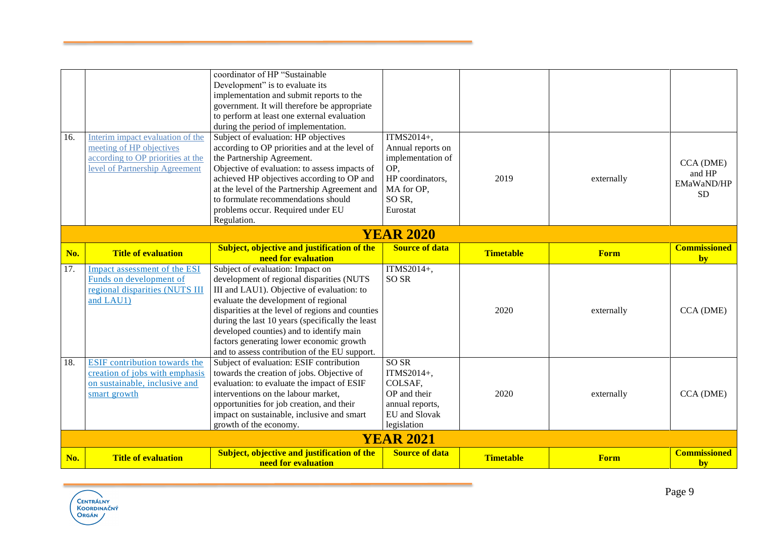|     |                                                                 | coordinator of HP "Sustainable<br>Development" is to evaluate its                        |                       |                  |             |                           |
|-----|-----------------------------------------------------------------|------------------------------------------------------------------------------------------|-----------------------|------------------|-------------|---------------------------|
|     |                                                                 | implementation and submit reports to the<br>government. It will therefore be appropriate |                       |                  |             |                           |
|     |                                                                 | to perform at least one external evaluation                                              |                       |                  |             |                           |
|     |                                                                 | during the period of implementation.                                                     |                       |                  |             |                           |
| 16. | Interim impact evaluation of the                                | Subject of evaluation: HP objectives                                                     | ITMS2014+,            |                  |             |                           |
|     | meeting of HP objectives                                        | according to OP priorities and at the level of                                           | Annual reports on     |                  |             |                           |
|     | according to OP priorities at the                               | the Partnership Agreement.                                                               | implementation of     |                  |             | CCA (DME)                 |
|     | level of Partnership Agreement                                  | Objective of evaluation: to assess impacts of                                            | OP,                   |                  |             | and HP                    |
|     |                                                                 | achieved HP objectives according to OP and                                               | HP coordinators,      | 2019             | externally  | EMaWaND/HP                |
|     |                                                                 | at the level of the Partnership Agreement and                                            | MA for OP,            |                  |             | <b>SD</b>                 |
|     |                                                                 | to formulate recommendations should                                                      | SO SR,                |                  |             |                           |
|     |                                                                 | problems occur. Required under EU                                                        | Eurostat              |                  |             |                           |
|     |                                                                 | Regulation.                                                                              |                       |                  |             |                           |
|     |                                                                 |                                                                                          | <b>YEAR 2020</b>      |                  |             |                           |
| No. | <b>Title of evaluation</b>                                      | Subject, objective and justification of the<br>need for evaluation                       | <b>Source of data</b> | <b>Timetable</b> | <b>Form</b> | <b>Commissioned</b><br>by |
| 17. | Impact assessment of the ESI                                    | Subject of evaluation: Impact on                                                         | ITMS2014+,            |                  |             |                           |
|     | Funds on development of                                         | development of regional disparities (NUTS                                                | SO <sub>SR</sub>      |                  |             |                           |
|     | regional disparities (NUTS III                                  | III and LAU1). Objective of evaluation: to                                               |                       |                  |             |                           |
|     | and LAU1)                                                       | evaluate the development of regional                                                     |                       |                  |             |                           |
|     |                                                                 | disparities at the level of regions and counties                                         |                       | 2020             | externally  | CCA (DME)                 |
|     |                                                                 | during the last 10 years (specifically the least                                         |                       |                  |             |                           |
|     |                                                                 | developed counties) and to identify main                                                 |                       |                  |             |                           |
|     |                                                                 | factors generating lower economic growth                                                 |                       |                  |             |                           |
|     |                                                                 | and to assess contribution of the EU support.                                            |                       |                  |             |                           |
| 18. | ESIF contribution towards the<br>creation of jobs with emphasis | Subject of evaluation: ESIF contribution                                                 | SO <sub>SR</sub>      |                  |             |                           |
|     | on sustainable, inclusive and                                   | towards the creation of jobs. Objective of<br>evaluation: to evaluate the impact of ESIF | ITMS2014+,<br>COLSAF, |                  |             |                           |
|     | smart growth                                                    | interventions on the labour market,                                                      | OP and their          | 2020             | externally  | CCA (DME)                 |
|     |                                                                 | opportunities for job creation, and their                                                | annual reports,       |                  |             |                           |
|     |                                                                 | impact on sustainable, inclusive and smart                                               | EU and Slovak         |                  |             |                           |
|     |                                                                 | growth of the economy.                                                                   | legislation           |                  |             |                           |
|     |                                                                 |                                                                                          | <b>YEAR 2021</b>      |                  |             |                           |
|     |                                                                 | <b>Subject, objective and justification of the</b>                                       | <b>Source of data</b> |                  |             | <b>Commissioned</b>       |
| No. | <b>Title of evaluation</b>                                      | need for evaluation                                                                      |                       | <b>Timetable</b> | <b>Form</b> | by                        |

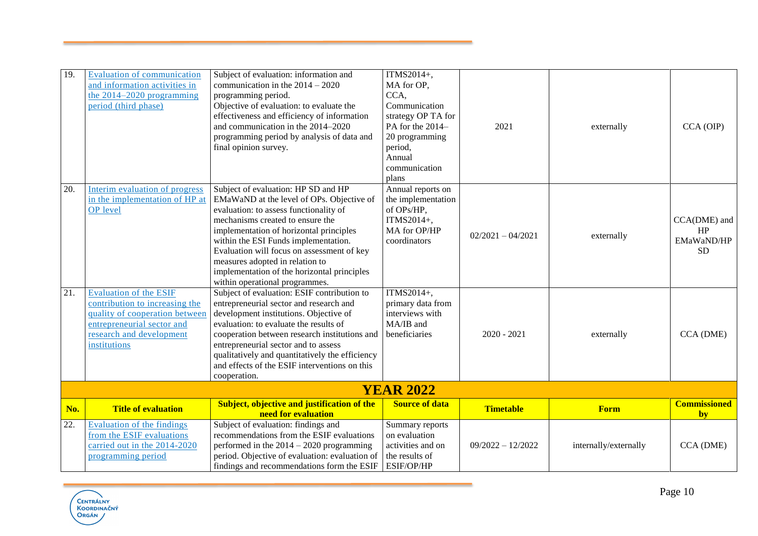| 19. | <b>Evaluation of communication</b><br>and information activities in<br>the $2014 - 2020$ programming<br>period (third phase)                                                | Subject of evaluation: information and<br>communication in the $2014 - 2020$<br>programming period.<br>Objective of evaluation: to evaluate the<br>effectiveness and efficiency of information<br>and communication in the 2014-2020<br>programming period by analysis of data and<br>final opinion survey.                                                                                                         | ITMS2014+,<br>MA for OP,<br>CCA,<br>Communication<br>strategy OP TA for<br>PA for the 2014-<br>20 programming<br>period,<br>Annual<br>communication<br>plans | 2021                | externally            | $CCA$ (OIP)                                   |
|-----|-----------------------------------------------------------------------------------------------------------------------------------------------------------------------------|---------------------------------------------------------------------------------------------------------------------------------------------------------------------------------------------------------------------------------------------------------------------------------------------------------------------------------------------------------------------------------------------------------------------|--------------------------------------------------------------------------------------------------------------------------------------------------------------|---------------------|-----------------------|-----------------------------------------------|
| 20. | Interim evaluation of progress<br>in the implementation of HP at<br><b>OP</b> level                                                                                         | Subject of evaluation: HP SD and HP<br>EMaWaND at the level of OPs. Objective of<br>evaluation: to assess functionality of<br>mechanisms created to ensure the<br>implementation of horizontal principles<br>within the ESI Funds implementation.<br>Evaluation will focus on assessment of key<br>measures adopted in relation to<br>implementation of the horizontal principles<br>within operational programmes. | Annual reports on<br>the implementation<br>of OPs/HP,<br>ITMS2014+,<br>MA for OP/HP<br>coordinators                                                          | $02/2021 - 04/2021$ | externally            | CCA(DME) and<br>HP<br>EMaWaND/HP<br><b>SD</b> |
| 21. | <b>Evaluation of the ESIF</b><br>contribution to increasing the<br>quality of cooperation between<br>entrepreneurial sector and<br>research and development<br>institutions | Subject of evaluation: ESIF contribution to<br>entrepreneurial sector and research and<br>development institutions. Objective of<br>evaluation: to evaluate the results of<br>cooperation between research institutions and<br>entrepreneurial sector and to assess<br>qualitatively and quantitatively the efficiency<br>and effects of the ESIF interventions on this<br>cooperation.                             | ITMS2014+,<br>primary data from<br>interviews with<br>MA/IB and<br>beneficiaries                                                                             | $2020 - 2021$       | externally            | CCA (DME)                                     |
|     |                                                                                                                                                                             |                                                                                                                                                                                                                                                                                                                                                                                                                     | <b>YEAR 2022</b>                                                                                                                                             |                     |                       |                                               |
| No. | <b>Title of evaluation</b>                                                                                                                                                  | <b>Subject, objective and justification of the</b><br>need for evaluation                                                                                                                                                                                                                                                                                                                                           | <b>Source of data</b>                                                                                                                                        | <b>Timetable</b>    | <b>Form</b>           | <b>Commissioned</b><br>by                     |
| 22. | <b>Evaluation of the findings</b><br>from the ESIF evaluations<br>carried out in the 2014-2020<br>programming period                                                        | Subject of evaluation: findings and<br>recommendations from the ESIF evaluations<br>performed in the $2014 - 2020$ programming<br>period. Objective of evaluation: evaluation of<br>findings and recommendations form the ESIF                                                                                                                                                                                      | Summary reports<br>on evaluation<br>activities and on<br>the results of<br>ESIF/OP/HP                                                                        | $09/2022 - 12/2022$ | internally/externally | CCA (DME)                                     |

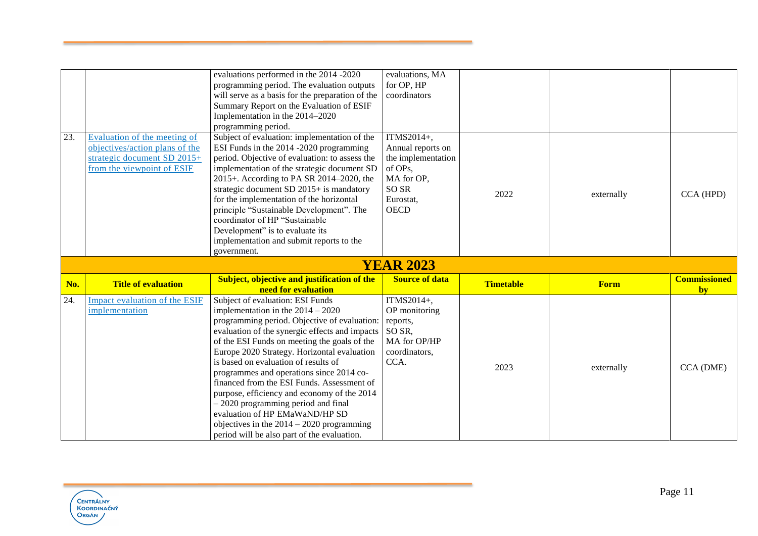|     |                                | evaluations performed in the 2014 -2020<br>programming period. The evaluation outputs      | evaluations, MA<br>for OP, HP |                  |             |                     |
|-----|--------------------------------|--------------------------------------------------------------------------------------------|-------------------------------|------------------|-------------|---------------------|
|     |                                | will serve as a basis for the preparation of the                                           | coordinators                  |                  |             |                     |
|     |                                | Summary Report on the Evaluation of ESIF                                                   |                               |                  |             |                     |
|     |                                | Implementation in the 2014-2020                                                            |                               |                  |             |                     |
|     |                                | programming period.                                                                        |                               |                  |             |                     |
| 23. | Evaluation of the meeting of   | Subject of evaluation: implementation of the                                               | ITMS2014+,                    |                  |             |                     |
|     | objectives/action plans of the | ESI Funds in the 2014 -2020 programming                                                    | Annual reports on             |                  |             |                     |
|     | strategic document SD 2015+    | period. Objective of evaluation: to assess the                                             | the implementation            |                  |             |                     |
|     | from the viewpoint of ESIF     | implementation of the strategic document SD                                                | of OPs,                       |                  |             |                     |
|     |                                | 2015+. According to PA SR 2014-2020, the                                                   | MA for OP,                    |                  |             |                     |
|     |                                | strategic document SD 2015+ is mandatory                                                   | SO <sub>SR</sub>              | 2022             |             | CCA (HPD)           |
|     |                                | for the implementation of the horizontal                                                   | Eurostat,                     |                  | externally  |                     |
|     |                                | principle "Sustainable Development". The                                                   | <b>OECD</b>                   |                  |             |                     |
|     |                                | coordinator of HP "Sustainable                                                             |                               |                  |             |                     |
|     |                                | Development" is to evaluate its                                                            |                               |                  |             |                     |
|     |                                | implementation and submit reports to the                                                   |                               |                  |             |                     |
|     |                                | government.                                                                                |                               |                  |             |                     |
|     |                                |                                                                                            |                               |                  |             |                     |
|     |                                |                                                                                            | <b>YEAR 2023</b>              |                  |             |                     |
|     |                                | <b>Subject, objective and justification of the</b>                                         | <b>Source of data</b>         |                  |             | <b>Commissioned</b> |
| No. | <b>Title of evaluation</b>     | need for evaluation                                                                        |                               | <b>Timetable</b> | <b>Form</b> | by                  |
| 24. | Impact evaluation of the ESIF  | Subject of evaluation: ESI Funds                                                           | ITMS2014+,                    |                  |             |                     |
|     | implementation                 | implementation in the $2014 - 2020$                                                        | OP monitoring                 |                  |             |                     |
|     |                                | programming period. Objective of evaluation:                                               | reports,                      |                  |             |                     |
|     |                                | evaluation of the synergic effects and impacts                                             | SO SR,                        |                  |             |                     |
|     |                                | of the ESI Funds on meeting the goals of the                                               | MA for OP/HP                  |                  |             |                     |
|     |                                | Europe 2020 Strategy. Horizontal evaluation                                                | coordinators,                 |                  |             |                     |
|     |                                | is based on evaluation of results of                                                       | CCA.                          |                  |             |                     |
|     |                                | programmes and operations since 2014 co-                                                   |                               | 2023             | externally  | CCA (DME)           |
|     |                                | financed from the ESI Funds. Assessment of                                                 |                               |                  |             |                     |
|     |                                | purpose, efficiency and economy of the 2014                                                |                               |                  |             |                     |
|     |                                | $-2020$ programming period and final                                                       |                               |                  |             |                     |
|     |                                | evaluation of HP EMaWaND/HP SD                                                             |                               |                  |             |                     |
|     |                                | objectives in the $2014 - 2020$ programming<br>period will be also part of the evaluation. |                               |                  |             |                     |

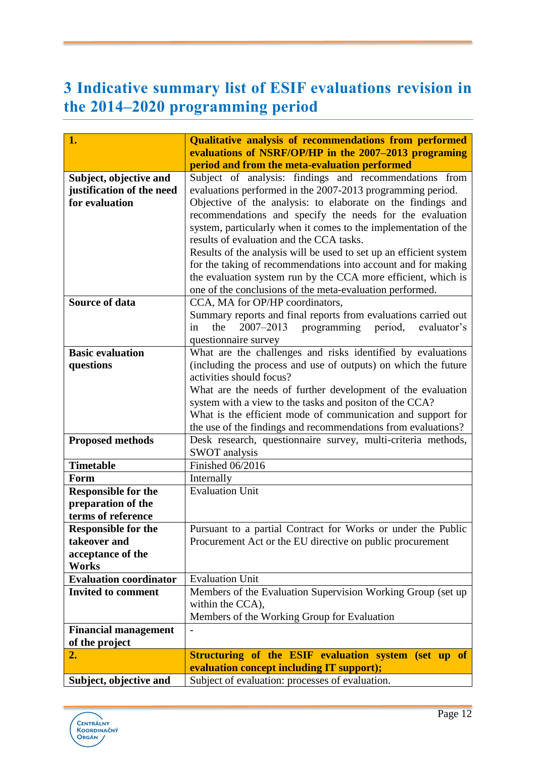# <span id="page-12-0"></span>**3 Indicative summary list of ESIF evaluations revision in the 2014–2020 programming period**

| 1.                                            | <b>Qualitative analysis of recommendations from performed</b>                                               |
|-----------------------------------------------|-------------------------------------------------------------------------------------------------------------|
|                                               | evaluations of NSRF/OP/HP in the 2007–2013 programing                                                       |
|                                               | period and from the meta-evaluation performed                                                               |
| Subject, objective and                        | Subject of analysis: findings and recommendations from                                                      |
| justification of the need                     | evaluations performed in the 2007-2013 programming period.                                                  |
| for evaluation                                | Objective of the analysis: to elaborate on the findings and                                                 |
|                                               | recommendations and specify the needs for the evaluation                                                    |
|                                               | system, particularly when it comes to the implementation of the<br>results of evaluation and the CCA tasks. |
|                                               | Results of the analysis will be used to set up an efficient system                                          |
|                                               | for the taking of recommendations into account and for making                                               |
|                                               | the evaluation system run by the CCA more efficient, which is                                               |
|                                               | one of the conclusions of the meta-evaluation performed.                                                    |
| <b>Source of data</b>                         | CCA, MA for OP/HP coordinators,                                                                             |
|                                               | Summary reports and final reports from evaluations carried out                                              |
|                                               | 2007-2013<br>evaluator's<br>the<br>programming<br>period,<br>in                                             |
|                                               | questionnaire survey                                                                                        |
| <b>Basic evaluation</b>                       | What are the challenges and risks identified by evaluations                                                 |
| questions                                     | (including the process and use of outputs) on which the future                                              |
|                                               | activities should focus?                                                                                    |
|                                               | What are the needs of further development of the evaluation                                                 |
|                                               | system with a view to the tasks and positon of the CCA?                                                     |
|                                               | What is the efficient mode of communication and support for                                                 |
|                                               | the use of the findings and recommendations from evaluations?                                               |
| <b>Proposed methods</b>                       | Desk research, questionnaire survey, multi-criteria methods,<br><b>SWOT</b> analysis                        |
| <b>Timetable</b>                              | <b>Finished 06/2016</b>                                                                                     |
| Form                                          | Internally                                                                                                  |
| <b>Responsible for the</b>                    | <b>Evaluation Unit</b>                                                                                      |
| preparation of the                            |                                                                                                             |
| terms of reference                            |                                                                                                             |
| <b>Responsible for the</b>                    | Pursuant to a partial Contract for Works or under the Public                                                |
| takeover and                                  | Procurement Act or the EU directive on public procurement                                                   |
| acceptance of the                             |                                                                                                             |
| <b>Works</b>                                  |                                                                                                             |
| <b>Evaluation coordinator</b>                 | <b>Evaluation Unit</b>                                                                                      |
| <b>Invited to comment</b>                     | Members of the Evaluation Supervision Working Group (set up)                                                |
|                                               | within the CCA),                                                                                            |
|                                               | Members of the Working Group for Evaluation                                                                 |
| <b>Financial management</b><br>of the project |                                                                                                             |
| 2.                                            | Structuring of the ESIF evaluation system (set up of                                                        |
|                                               | evaluation concept including IT support);                                                                   |
| Subject, objective and                        | Subject of evaluation: processes of evaluation.                                                             |
|                                               |                                                                                                             |

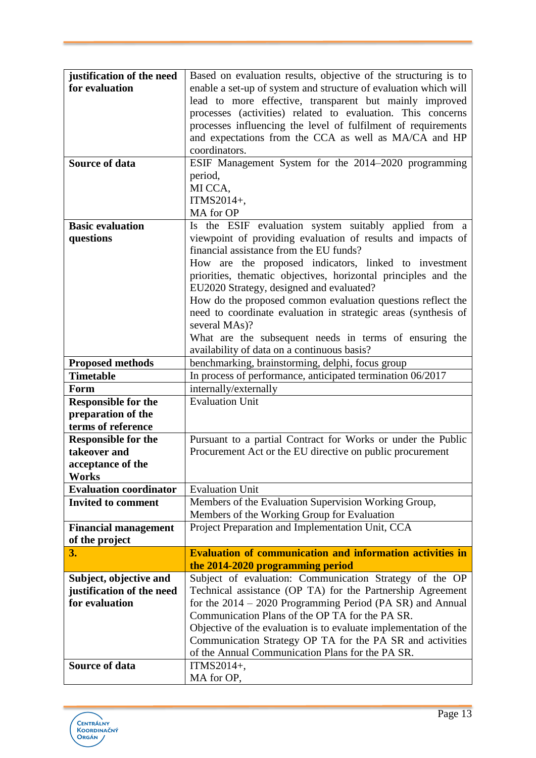| justification of the need         | Based on evaluation results, objective of the structuring is to  |
|-----------------------------------|------------------------------------------------------------------|
| for evaluation                    | enable a set-up of system and structure of evaluation which will |
|                                   | lead to more effective, transparent but mainly improved          |
|                                   | processes (activities) related to evaluation. This concerns      |
|                                   | processes influencing the level of fulfilment of requirements    |
|                                   | and expectations from the CCA as well as MA/CA and HP            |
|                                   | coordinators.                                                    |
|                                   |                                                                  |
| Source of data                    | ESIF Management System for the 2014-2020 programming             |
|                                   | period,                                                          |
|                                   | MI CCA,                                                          |
|                                   | ITMS2014+,                                                       |
|                                   | MA for OP                                                        |
| <b>Basic evaluation</b>           | Is the ESIF evaluation system suitably applied from a            |
| questions                         | viewpoint of providing evaluation of results and impacts of      |
|                                   | financial assistance from the EU funds?                          |
|                                   | How are the proposed indicators, linked to investment            |
|                                   | priorities, thematic objectives, horizontal principles and the   |
|                                   | EU2020 Strategy, designed and evaluated?                         |
|                                   | How do the proposed common evaluation questions reflect the      |
|                                   | need to coordinate evaluation in strategic areas (synthesis of   |
|                                   | several MAs)?                                                    |
|                                   | What are the subsequent needs in terms of ensuring the           |
|                                   | availability of data on a continuous basis?                      |
| <b>Proposed methods</b>           | benchmarking, brainstorming, delphi, focus group                 |
| <b>Timetable</b>                  | In process of performance, anticipated termination 06/2017       |
| Form                              | internally/externally                                            |
| <b>Responsible for the</b>        | <b>Evaluation Unit</b>                                           |
| preparation of the                |                                                                  |
| terms of reference                |                                                                  |
| <b>Responsible for the</b>        | Pursuant to a partial Contract for Works or under the Public     |
| takeover and                      | Procurement Act or the EU directive on public procurement        |
|                                   |                                                                  |
| acceptance of the<br><b>Works</b> |                                                                  |
| <b>Evaluation coordinator</b>     |                                                                  |
| <b>Invited to comment</b>         | <b>Evaluation Unit</b>                                           |
|                                   | Members of the Evaluation Supervision Working Group,             |
|                                   | Members of the Working Group for Evaluation                      |
| <b>Financial management</b>       | Project Preparation and Implementation Unit, CCA                 |
| of the project<br>3.              | <b>Evaluation of communication and information activities in</b> |
|                                   | the 2014-2020 programming period                                 |
| Subject, objective and            | Subject of evaluation: Communication Strategy of the OP          |
| justification of the need         | Technical assistance (OP TA) for the Partnership Agreement       |
| for evaluation                    | for the $2014 - 2020$ Programming Period (PA SR) and Annual      |
|                                   | Communication Plans of the OP TA for the PA SR.                  |
|                                   |                                                                  |
|                                   |                                                                  |
|                                   | Objective of the evaluation is to evaluate implementation of the |
|                                   | Communication Strategy OP TA for the PA SR and activities        |
|                                   | of the Annual Communication Plans for the PA SR.                 |
| <b>Source of data</b>             | ITMS2014+,<br>MA for OP,                                         |

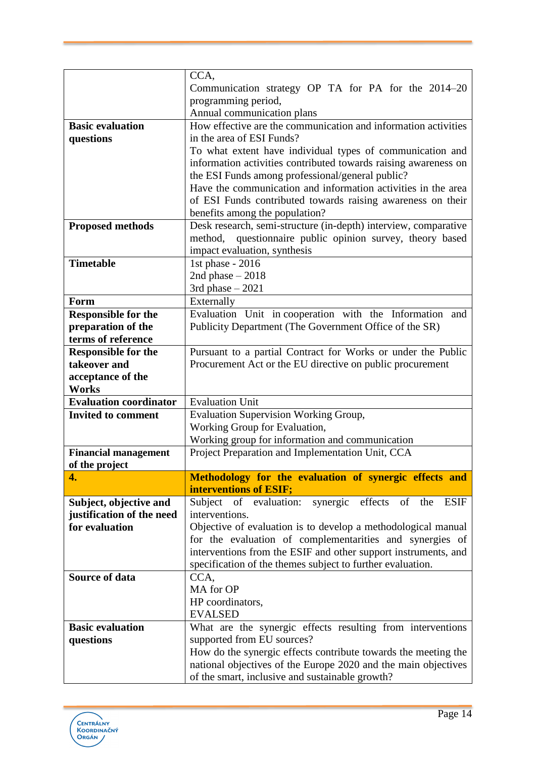|                                             | CCA,                                                                                                                         |
|---------------------------------------------|------------------------------------------------------------------------------------------------------------------------------|
|                                             | Communication strategy OP TA for PA for the 2014–20                                                                          |
|                                             | programming period,                                                                                                          |
|                                             | Annual communication plans                                                                                                   |
| <b>Basic evaluation</b>                     | How effective are the communication and information activities                                                               |
| questions                                   | in the area of ESI Funds?                                                                                                    |
|                                             | To what extent have individual types of communication and                                                                    |
|                                             | information activities contributed towards raising awareness on                                                              |
|                                             | the ESI Funds among professional/general public?                                                                             |
|                                             | Have the communication and information activities in the area                                                                |
|                                             | of ESI Funds contributed towards raising awareness on their                                                                  |
|                                             | benefits among the population?                                                                                               |
| <b>Proposed methods</b>                     | Desk research, semi-structure (in-depth) interview, comparative                                                              |
|                                             | questionnaire public opinion survey, theory based<br>method,                                                                 |
|                                             | impact evaluation, synthesis                                                                                                 |
| <b>Timetable</b>                            | 1st phase - 2016<br>2nd phase $-2018$                                                                                        |
|                                             | 3rd phase $-2021$                                                                                                            |
| Form                                        | Externally                                                                                                                   |
| <b>Responsible for the</b>                  | Evaluation Unit in cooperation with the Information and                                                                      |
| preparation of the                          | Publicity Department (The Government Office of the SR)                                                                       |
| terms of reference                          |                                                                                                                              |
| <b>Responsible for the</b>                  | Pursuant to a partial Contract for Works or under the Public                                                                 |
| takeover and                                | Procurement Act or the EU directive on public procurement                                                                    |
| acceptance of the                           |                                                                                                                              |
| Works                                       |                                                                                                                              |
| <b>Evaluation coordinator</b>               | <b>Evaluation Unit</b>                                                                                                       |
| <b>Invited to comment</b>                   | <b>Evaluation Supervision Working Group,</b>                                                                                 |
|                                             | Working Group for Evaluation,                                                                                                |
|                                             | Working group for information and communication                                                                              |
| <b>Financial management</b>                 | Project Preparation and Implementation Unit, CCA                                                                             |
|                                             |                                                                                                                              |
| of the project                              |                                                                                                                              |
| 4.                                          | Methodology for the evaluation of synergic effects and                                                                       |
|                                             | interventions of ESIF;                                                                                                       |
| Subject, objective and                      | Subject of evaluation:<br>synergic effects of the<br><b>ESIF</b>                                                             |
| justification of the need<br>for evaluation | interventions.                                                                                                               |
|                                             | Objective of evaluation is to develop a methodological manual                                                                |
|                                             | for the evaluation of complementarities and synergies of                                                                     |
|                                             | interventions from the ESIF and other support instruments, and<br>specification of the themes subject to further evaluation. |
| Source of data                              | CCA,                                                                                                                         |
|                                             | MA for OP                                                                                                                    |
|                                             | HP coordinators,                                                                                                             |
|                                             | <b>EVALSED</b>                                                                                                               |
| <b>Basic evaluation</b>                     | What are the synergic effects resulting from interventions                                                                   |
| questions                                   | supported from EU sources?                                                                                                   |
|                                             | How do the synergic effects contribute towards the meeting the                                                               |
|                                             | national objectives of the Europe 2020 and the main objectives<br>of the smart, inclusive and sustainable growth?            |

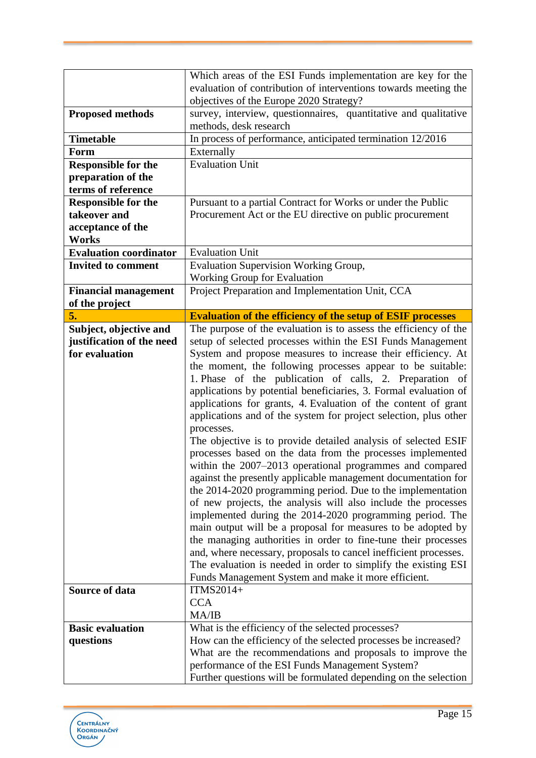|                               | Which areas of the ESI Funds implementation are key for the                                                        |
|-------------------------------|--------------------------------------------------------------------------------------------------------------------|
|                               | evaluation of contribution of interventions towards meeting the                                                    |
|                               | objectives of the Europe 2020 Strategy?                                                                            |
| <b>Proposed methods</b>       | survey, interview, questionnaires, quantitative and qualitative                                                    |
|                               | methods, desk research                                                                                             |
| <b>Timetable</b>              | In process of performance, anticipated termination 12/2016                                                         |
| Form                          | Externally                                                                                                         |
| <b>Responsible for the</b>    | <b>Evaluation Unit</b>                                                                                             |
| preparation of the            |                                                                                                                    |
| terms of reference            |                                                                                                                    |
| <b>Responsible for the</b>    | Pursuant to a partial Contract for Works or under the Public                                                       |
| takeover and                  | Procurement Act or the EU directive on public procurement                                                          |
| acceptance of the             |                                                                                                                    |
| Works                         |                                                                                                                    |
| <b>Evaluation coordinator</b> | <b>Evaluation Unit</b>                                                                                             |
| <b>Invited to comment</b>     | Evaluation Supervision Working Group,                                                                              |
|                               | Working Group for Evaluation                                                                                       |
| <b>Financial management</b>   | Project Preparation and Implementation Unit, CCA                                                                   |
|                               |                                                                                                                    |
| of the project                |                                                                                                                    |
| 5.                            | <b>Evaluation of the efficiency of the setup of ESIF processes</b>                                                 |
| Subject, objective and        | The purpose of the evaluation is to assess the efficiency of the                                                   |
| justification of the need     | setup of selected processes within the ESI Funds Management                                                        |
| for evaluation                | System and propose measures to increase their efficiency. At                                                       |
|                               | the moment, the following processes appear to be suitable:                                                         |
|                               | 1. Phase of the publication of calls, 2. Preparation of                                                            |
|                               | applications by potential beneficiaries, 3. Formal evaluation of                                                   |
|                               | applications for grants, 4. Evaluation of the content of grant                                                     |
|                               | applications and of the system for project selection, plus other                                                   |
|                               |                                                                                                                    |
|                               | processes.                                                                                                         |
|                               | The objective is to provide detailed analysis of selected ESIF                                                     |
|                               | processes based on the data from the processes implemented                                                         |
|                               | within the 2007–2013 operational programmes and compared                                                           |
|                               |                                                                                                                    |
|                               | against the presently applicable management documentation for                                                      |
|                               | the 2014-2020 programming period. Due to the implementation                                                        |
|                               | of new projects, the analysis will also include the processes                                                      |
|                               | implemented during the 2014-2020 programming period. The                                                           |
|                               | main output will be a proposal for measures to be adopted by                                                       |
|                               | the managing authorities in order to fine-tune their processes                                                     |
|                               | and, where necessary, proposals to cancel inefficient processes.                                                   |
|                               | The evaluation is needed in order to simplify the existing ESI                                                     |
|                               | Funds Management System and make it more efficient.                                                                |
| Source of data                | ITMS2014+                                                                                                          |
|                               | <b>CCA</b>                                                                                                         |
|                               | MA/IB                                                                                                              |
| <b>Basic evaluation</b>       | What is the efficiency of the selected processes?                                                                  |
| questions                     | How can the efficiency of the selected processes be increased?                                                     |
|                               | What are the recommendations and proposals to improve the                                                          |
|                               | performance of the ESI Funds Management System?<br>Further questions will be formulated depending on the selection |

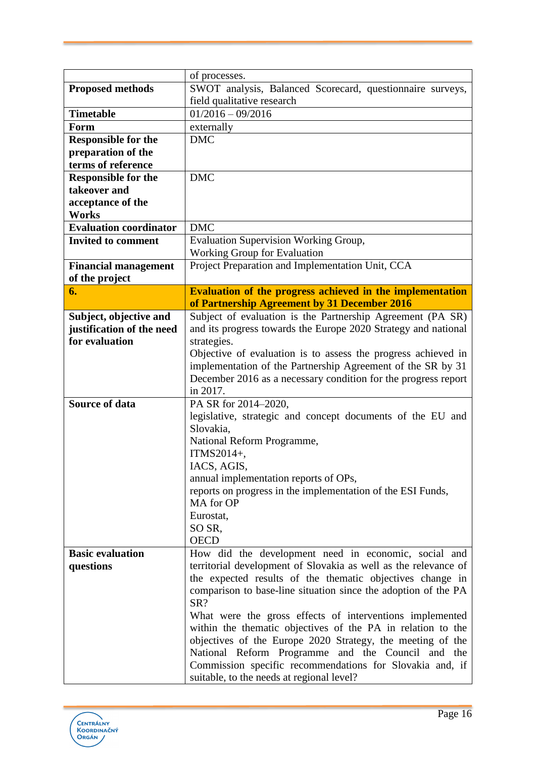| of processes.                                                                               |  |
|---------------------------------------------------------------------------------------------|--|
| SWOT analysis, Balanced Scorecard, questionnaire surveys,<br><b>Proposed methods</b>        |  |
| field qualitative research                                                                  |  |
| $01/2016 - 09/2016$<br><b>Timetable</b>                                                     |  |
| externally<br>Form                                                                          |  |
| <b>DMC</b><br><b>Responsible for the</b>                                                    |  |
| preparation of the                                                                          |  |
| terms of reference                                                                          |  |
| <b>DMC</b><br><b>Responsible for the</b>                                                    |  |
| takeover and                                                                                |  |
| acceptance of the                                                                           |  |
| <b>Works</b>                                                                                |  |
| <b>DMC</b><br><b>Evaluation coordinator</b>                                                 |  |
| <b>Evaluation Supervision Working Group,</b><br><b>Invited to comment</b>                   |  |
| <b>Working Group for Evaluation</b>                                                         |  |
| Project Preparation and Implementation Unit, CCA<br><b>Financial management</b>             |  |
| of the project                                                                              |  |
| <b>Evaluation of the progress achieved in the implementation</b><br>6.                      |  |
| of Partnership Agreement by 31 December 2016                                                |  |
| Subject of evaluation is the Partnership Agreement (PA SR)<br>Subject, objective and        |  |
| and its progress towards the Europe 2020 Strategy and national<br>justification of the need |  |
| for evaluation<br>strategies.                                                               |  |
| Objective of evaluation is to assess the progress achieved in                               |  |
| implementation of the Partnership Agreement of the SR by 31                                 |  |
| December 2016 as a necessary condition for the progress report                              |  |
| in 2017.                                                                                    |  |
| <b>Source of data</b><br>PA SR for 2014-2020,                                               |  |
| legislative, strategic and concept documents of the EU and                                  |  |
| Slovakia,                                                                                   |  |
| National Reform Programme,                                                                  |  |
| ITMS2014+,                                                                                  |  |
| IACS, AGIS,                                                                                 |  |
| annual implementation reports of OPs,                                                       |  |
| reports on progress in the implementation of the ESI Funds,                                 |  |
| MA for OP                                                                                   |  |
| Eurostat,                                                                                   |  |
| SO SR,<br><b>OECD</b>                                                                       |  |
| <b>Basic evaluation</b><br>How did the development need in economic, social and             |  |
| territorial development of Slovakia as well as the relevance of<br>questions                |  |
| the expected results of the thematic objectives change in                                   |  |
| comparison to base-line situation since the adoption of the PA                              |  |
| SR?                                                                                         |  |
| What were the gross effects of interventions implemented                                    |  |
| within the thematic objectives of the PA in relation to the                                 |  |
| objectives of the Europe 2020 Strategy, the meeting of the                                  |  |
| National Reform Programme and the Council and the                                           |  |
| Commission specific recommendations for Slovakia and, if                                    |  |
| suitable, to the needs at regional level?                                                   |  |

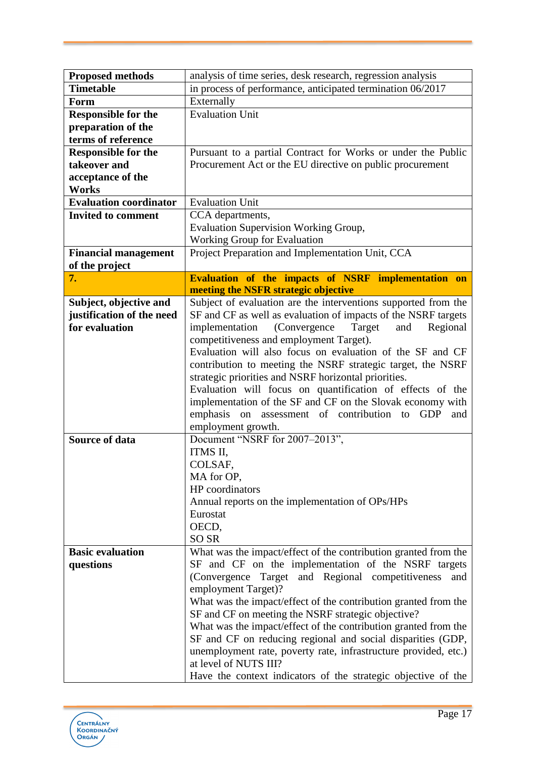| <b>Proposed methods</b>       | analysis of time series, desk research, regression analysis       |
|-------------------------------|-------------------------------------------------------------------|
| <b>Timetable</b>              | in process of performance, anticipated termination 06/2017        |
| Form                          | Externally                                                        |
| <b>Responsible for the</b>    | <b>Evaluation Unit</b>                                            |
| preparation of the            |                                                                   |
| terms of reference            |                                                                   |
| <b>Responsible for the</b>    | Pursuant to a partial Contract for Works or under the Public      |
| takeover and                  | Procurement Act or the EU directive on public procurement         |
| acceptance of the             |                                                                   |
| <b>Works</b>                  |                                                                   |
| <b>Evaluation coordinator</b> | <b>Evaluation Unit</b>                                            |
| <b>Invited to comment</b>     | CCA departments,                                                  |
|                               | <b>Evaluation Supervision Working Group,</b>                      |
|                               | <b>Working Group for Evaluation</b>                               |
| <b>Financial management</b>   | Project Preparation and Implementation Unit, CCA                  |
| of the project                |                                                                   |
| 7.                            | Evaluation of the impacts of NSRF implementation on               |
|                               | meeting the NSFR strategic objective                              |
| Subject, objective and        | Subject of evaluation are the interventions supported from the    |
| justification of the need     | SF and CF as well as evaluation of impacts of the NSRF targets    |
| for evaluation                | implementation<br>(Convergence)<br>Regional<br>Target<br>and      |
|                               | competitiveness and employment Target).                           |
|                               | Evaluation will also focus on evaluation of the SF and CF         |
|                               | contribution to meeting the NSRF strategic target, the NSRF       |
|                               | strategic priorities and NSRF horizontal priorities.              |
|                               | Evaluation will focus on quantification of effects of the         |
|                               | implementation of the SF and CF on the Slovak economy with        |
|                               | emphasis<br>on assessment of contribution to<br><b>GDP</b><br>and |
|                               | employment growth.                                                |
| <b>Source of data</b>         | Document "NSRF for 2007-2013",                                    |
|                               | ITMS II,                                                          |
|                               | COLSAF,                                                           |
|                               | MA for OP,                                                        |
|                               | HP coordinators                                                   |
|                               | Annual reports on the implementation of OPs/HPs                   |
|                               | Eurostat                                                          |
|                               | OECD,                                                             |
|                               | <b>SO SR</b>                                                      |
| <b>Basic evaluation</b>       | What was the impact/effect of the contribution granted from the   |
| questions                     | SF and CF on the implementation of the NSRF targets               |
|                               | (Convergence Target and Regional competitiveness<br>and           |
|                               | employment Target)?                                               |
|                               | What was the impact/effect of the contribution granted from the   |
|                               | SF and CF on meeting the NSRF strategic objective?                |
|                               | What was the impact/effect of the contribution granted from the   |
|                               | SF and CF on reducing regional and social disparities (GDP,       |
|                               | unemployment rate, poverty rate, infrastructure provided, etc.)   |
|                               | at level of NUTS III?                                             |
|                               | Have the context indicators of the strategic objective of the     |

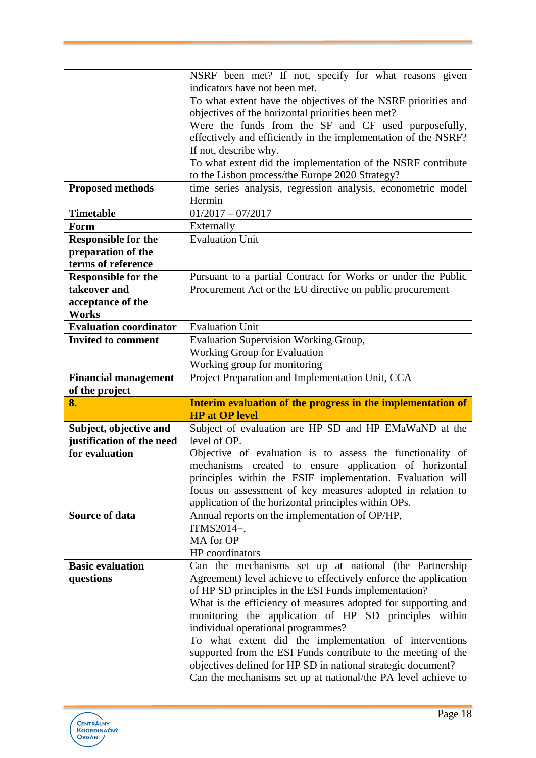|                               | NSRF been met? If not, specify for what reasons given                                                                         |
|-------------------------------|-------------------------------------------------------------------------------------------------------------------------------|
|                               | indicators have not been met.                                                                                                 |
|                               | To what extent have the objectives of the NSRF priorities and                                                                 |
|                               | objectives of the horizontal priorities been met?                                                                             |
|                               | Were the funds from the SF and CF used purposefully,                                                                          |
|                               | effectively and efficiently in the implementation of the NSRF?                                                                |
|                               | If not, describe why.                                                                                                         |
|                               | To what extent did the implementation of the NSRF contribute                                                                  |
|                               | to the Lisbon process/the Europe 2020 Strategy?                                                                               |
| <b>Proposed methods</b>       | time series analysis, regression analysis, econometric model                                                                  |
|                               | Hermin                                                                                                                        |
| <b>Timetable</b>              | $01/2017 - 07/2017$                                                                                                           |
| Form                          | Externally                                                                                                                    |
| <b>Responsible for the</b>    | Evaluation Unit                                                                                                               |
| preparation of the            |                                                                                                                               |
| terms of reference            |                                                                                                                               |
| <b>Responsible for the</b>    | Pursuant to a partial Contract for Works or under the Public                                                                  |
| takeover and                  | Procurement Act or the EU directive on public procurement                                                                     |
| acceptance of the             |                                                                                                                               |
| <b>Works</b>                  |                                                                                                                               |
| <b>Evaluation coordinator</b> | <b>Evaluation Unit</b>                                                                                                        |
| <b>Invited to comment</b>     | Evaluation Supervision Working Group,                                                                                         |
|                               | <b>Working Group for Evaluation</b>                                                                                           |
|                               | Working group for monitoring                                                                                                  |
| <b>Financial management</b>   | Project Preparation and Implementation Unit, CCA                                                                              |
|                               |                                                                                                                               |
| of the project                |                                                                                                                               |
| 8.                            | Interim evaluation of the progress in the implementation of                                                                   |
|                               | <b>HP</b> at OP level                                                                                                         |
| Subject, objective and        | Subject of evaluation are HP SD and HP EMaWaND at the                                                                         |
| justification of the need     | level of OP.                                                                                                                  |
| for evaluation                | Objective of evaluation is to assess the functionality of                                                                     |
|                               | mechanisms created to ensure application of horizontal                                                                        |
|                               | principles within the ESIF implementation. Evaluation will                                                                    |
|                               | focus on assessment of key measures adopted in relation to                                                                    |
|                               | application of the horizontal principles within OPs.                                                                          |
| <b>Source of data</b>         | Annual reports on the implementation of OP/HP,                                                                                |
|                               | ITMS2014+,                                                                                                                    |
|                               | MA for OP                                                                                                                     |
|                               | HP coordinators                                                                                                               |
| <b>Basic evaluation</b>       | Can the mechanisms set up at national (the Partnership                                                                        |
| questions                     | Agreement) level achieve to effectively enforce the application                                                               |
|                               | of HP SD principles in the ESI Funds implementation?                                                                          |
|                               | What is the efficiency of measures adopted for supporting and                                                                 |
|                               | monitoring the application of HP SD principles within                                                                         |
|                               | individual operational programmes?                                                                                            |
|                               | To what extent did the implementation of interventions                                                                        |
|                               | supported from the ESI Funds contribute to the meeting of the                                                                 |
|                               | objectives defined for HP SD in national strategic document?<br>Can the mechanisms set up at national/the PA level achieve to |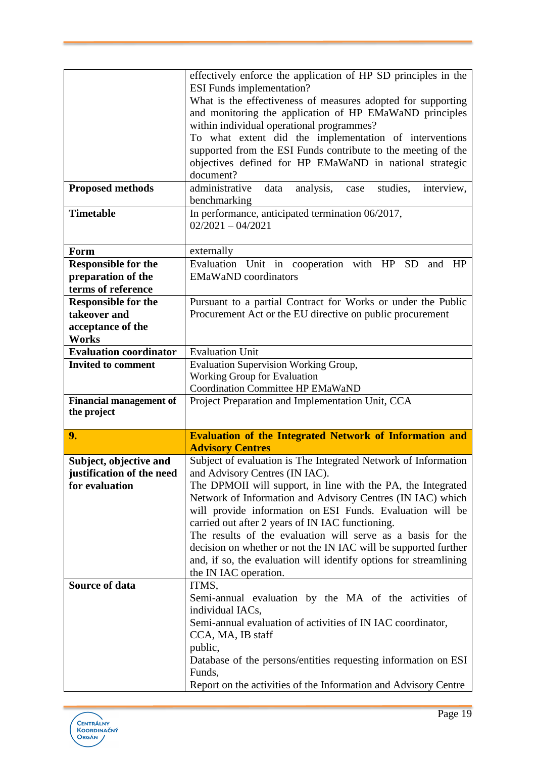|                                | effectively enforce the application of HP SD principles in the            |
|--------------------------------|---------------------------------------------------------------------------|
|                                | <b>ESI</b> Funds implementation?                                          |
|                                | What is the effectiveness of measures adopted for supporting              |
|                                | and monitoring the application of HP EMaWaND principles                   |
|                                | within individual operational programmes?                                 |
|                                | To what extent did the implementation of interventions                    |
|                                | supported from the ESI Funds contribute to the meeting of the             |
|                                | objectives defined for HP EMaWaND in national strategic                   |
|                                | document?                                                                 |
| <b>Proposed methods</b>        | administrative<br>analysis,<br>studies,<br>data<br>interview,<br>case     |
|                                | benchmarking                                                              |
| <b>Timetable</b>               | In performance, anticipated termination 06/2017,                          |
|                                | $02/2021 - 04/2021$                                                       |
|                                |                                                                           |
| Form                           | externally                                                                |
| <b>Responsible for the</b>     | Evaluation Unit in cooperation with HP<br><b>SD</b><br>and<br>HP          |
| preparation of the             | <b>EMaWaND</b> coordinators                                               |
| terms of reference             |                                                                           |
| <b>Responsible for the</b>     | Pursuant to a partial Contract for Works or under the Public              |
| takeover and                   | Procurement Act or the EU directive on public procurement                 |
| acceptance of the              |                                                                           |
| <b>Works</b>                   |                                                                           |
| <b>Evaluation coordinator</b>  | <b>Evaluation Unit</b>                                                    |
| <b>Invited to comment</b>      | Evaluation Supervision Working Group,                                     |
|                                | Working Group for Evaluation                                              |
|                                | <b>Coordination Committee HP EMaWaND</b>                                  |
| <b>Financial management of</b> |                                                                           |
|                                | Project Preparation and Implementation Unit, CCA                          |
| the project                    |                                                                           |
|                                |                                                                           |
| 9.                             | <b>Evaluation of the Integrated Network of Information and</b>            |
|                                | <b>Advisory Centres</b>                                                   |
| Subject, objective and         | Subject of evaluation is The Integrated Network of Information            |
| justification of the need      | and Advisory Centres (IN IAC).                                            |
| for evaluation                 | The DPMOII will support, in line with the PA, the Integrated              |
|                                | Network of Information and Advisory Centres (IN IAC) which                |
|                                | will provide information on ESI Funds. Evaluation will be                 |
|                                | carried out after 2 years of IN IAC functioning.                          |
|                                | The results of the evaluation will serve as a basis for the               |
|                                | decision on whether or not the IN IAC will be supported further           |
|                                | and, if so, the evaluation will identify options for streamlining         |
| <b>Source of data</b>          | the IN IAC operation.                                                     |
|                                | ITMS,                                                                     |
|                                | Semi-annual evaluation by the MA of the activities of<br>individual IACs, |
|                                | Semi-annual evaluation of activities of IN IAC coordinator,               |
|                                |                                                                           |
|                                | CCA, MA, IB staff<br>public,                                              |
|                                | Database of the persons/entities requesting information on ESI            |
|                                | Funds,                                                                    |

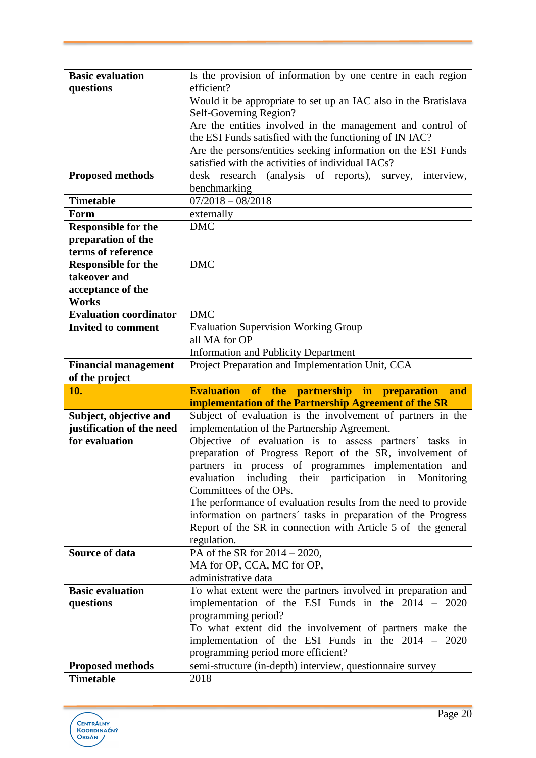| <b>Basic evaluation</b>       | Is the provision of information by one centre in each region                                                 |
|-------------------------------|--------------------------------------------------------------------------------------------------------------|
| questions                     | efficient?                                                                                                   |
|                               | Would it be appropriate to set up an IAC also in the Bratislava                                              |
|                               | Self-Governing Region?                                                                                       |
|                               | Are the entities involved in the management and control of                                                   |
|                               | the ESI Funds satisfied with the functioning of IN IAC?                                                      |
|                               | Are the persons/entities seeking information on the ESI Funds                                                |
|                               | satisfied with the activities of individual IACs?                                                            |
| <b>Proposed methods</b>       | desk research (analysis of reports), survey,<br>interview,                                                   |
|                               | benchmarking                                                                                                 |
| <b>Timetable</b>              | $07/2018 - 08/2018$                                                                                          |
| Form                          | externally                                                                                                   |
| <b>Responsible for the</b>    | <b>DMC</b>                                                                                                   |
| preparation of the            |                                                                                                              |
| terms of reference            |                                                                                                              |
| <b>Responsible for the</b>    | <b>DMC</b>                                                                                                   |
| takeover and                  |                                                                                                              |
| acceptance of the<br>Works    |                                                                                                              |
| <b>Evaluation coordinator</b> | <b>DMC</b>                                                                                                   |
| <b>Invited to comment</b>     | <b>Evaluation Supervision Working Group</b>                                                                  |
|                               | all MA for OP                                                                                                |
|                               | <b>Information and Publicity Department</b>                                                                  |
| <b>Financial management</b>   | Project Preparation and Implementation Unit, CCA                                                             |
|                               |                                                                                                              |
|                               |                                                                                                              |
| of the project<br>10.         | and                                                                                                          |
|                               | <b>Evaluation of the partnership in preparation</b><br>implementation of the Partnership Agreement of the SR |
| Subject, objective and        | Subject of evaluation is the involvement of partners in the                                                  |
| justification of the need     | implementation of the Partnership Agreement.                                                                 |
| for evaluation                | Objective of evaluation is to assess partners' tasks in                                                      |
|                               | preparation of Progress Report of the SR, involvement of                                                     |
|                               | partners in process of programmes implementation and                                                         |
|                               | evaluation including their participation in<br>Monitoring                                                    |
|                               | Committees of the OPs.                                                                                       |
|                               | The performance of evaluation results from the need to provide                                               |
|                               | information on partners' tasks in preparation of the Progress                                                |
|                               | Report of the SR in connection with Article 5 of the general                                                 |
|                               | regulation.                                                                                                  |
| <b>Source of data</b>         | PA of the SR for $2014 - 2020$ ,                                                                             |
|                               | MA for OP, CCA, MC for OP,                                                                                   |
|                               | administrative data                                                                                          |
| <b>Basic evaluation</b>       | To what extent were the partners involved in preparation and                                                 |
| questions                     | implementation of the ESI Funds in the 2014 - 2020<br>programming period?                                    |
|                               | To what extent did the involvement of partners make the                                                      |
|                               | implementation of the ESI Funds in the $2014 - 2020$                                                         |
|                               | programming period more efficient?                                                                           |
| <b>Proposed methods</b>       | semi-structure (in-depth) interview, questionnaire survey                                                    |

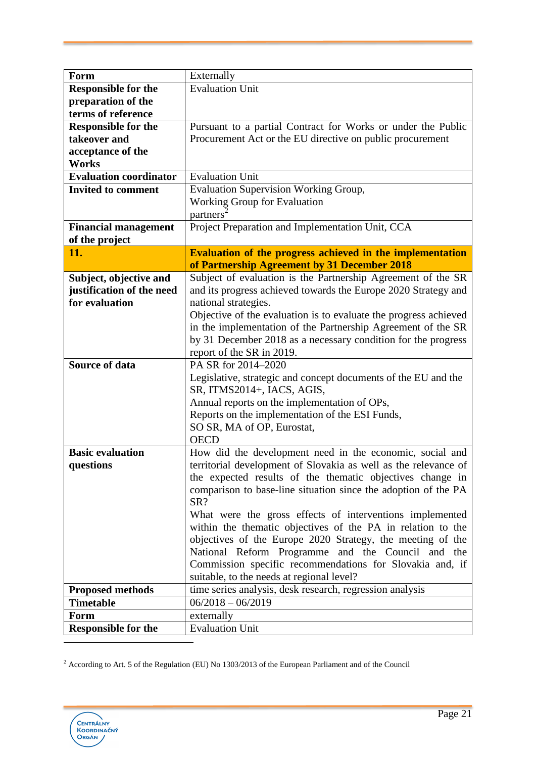| Form                               | Externally                                                                                                                       |
|------------------------------------|----------------------------------------------------------------------------------------------------------------------------------|
| <b>Responsible for the</b>         | <b>Evaluation Unit</b>                                                                                                           |
| preparation of the                 |                                                                                                                                  |
| terms of reference                 |                                                                                                                                  |
| <b>Responsible for the</b>         | Pursuant to a partial Contract for Works or under the Public                                                                     |
| takeover and                       | Procurement Act or the EU directive on public procurement                                                                        |
| acceptance of the                  |                                                                                                                                  |
| <b>Works</b>                       |                                                                                                                                  |
| <b>Evaluation coordinator</b>      | <b>Evaluation Unit</b>                                                                                                           |
| <b>Invited to comment</b>          | Evaluation Supervision Working Group,                                                                                            |
|                                    | Working Group for Evaluation                                                                                                     |
|                                    | partners                                                                                                                         |
| <b>Financial management</b>        | Project Preparation and Implementation Unit, CCA                                                                                 |
| of the project                     |                                                                                                                                  |
| 11.                                | <b>Evaluation of the progress achieved in the implementation</b>                                                                 |
|                                    | of Partnership Agreement by 31 December 2018                                                                                     |
| Subject, objective and             | Subject of evaluation is the Partnership Agreement of the SR                                                                     |
| justification of the need          | and its progress achieved towards the Europe 2020 Strategy and                                                                   |
| for evaluation                     | national strategies.                                                                                                             |
|                                    | Objective of the evaluation is to evaluate the progress achieved<br>in the implementation of the Partnership Agreement of the SR |
|                                    | by 31 December 2018 as a necessary condition for the progress                                                                    |
|                                    | report of the SR in 2019.                                                                                                        |
| <b>Source of data</b>              | PA SR for 2014-2020                                                                                                              |
|                                    | Legislative, strategic and concept documents of the EU and the                                                                   |
|                                    | SR, ITMS2014+, IACS, AGIS,                                                                                                       |
|                                    | Annual reports on the implementation of OPs,                                                                                     |
|                                    | Reports on the implementation of the ESI Funds,                                                                                  |
|                                    | SO SR, MA of OP, Eurostat,                                                                                                       |
|                                    | <b>OECD</b>                                                                                                                      |
| <b>Basic evaluation</b>            | How did the development need in the economic, social and                                                                         |
| questions                          | territorial development of Slovakia as well as the relevance of                                                                  |
|                                    | the expected results of the thematic objectives change in                                                                        |
|                                    | comparison to base-line situation since the adoption of the PA                                                                   |
|                                    | SR?                                                                                                                              |
|                                    | What were the gross effects of interventions implemented                                                                         |
|                                    | within the thematic objectives of the PA in relation to the                                                                      |
|                                    | objectives of the Europe 2020 Strategy, the meeting of the                                                                       |
|                                    | National Reform Programme and the Council and the                                                                                |
|                                    | Commission specific recommendations for Slovakia and, if                                                                         |
|                                    | suitable, to the needs at regional level?                                                                                        |
| <b>Proposed methods</b>            | time series analysis, desk research, regression analysis                                                                         |
| <b>Timetable</b>                   | $06/2018 - 06/2019$                                                                                                              |
| Form<br><b>Responsible for the</b> | externally<br><b>Evaluation Unit</b>                                                                                             |
|                                    |                                                                                                                                  |

 $2$  According to Art. 5 of the Regulation (EU) No 1303/2013 of the European Parliament and of the Council

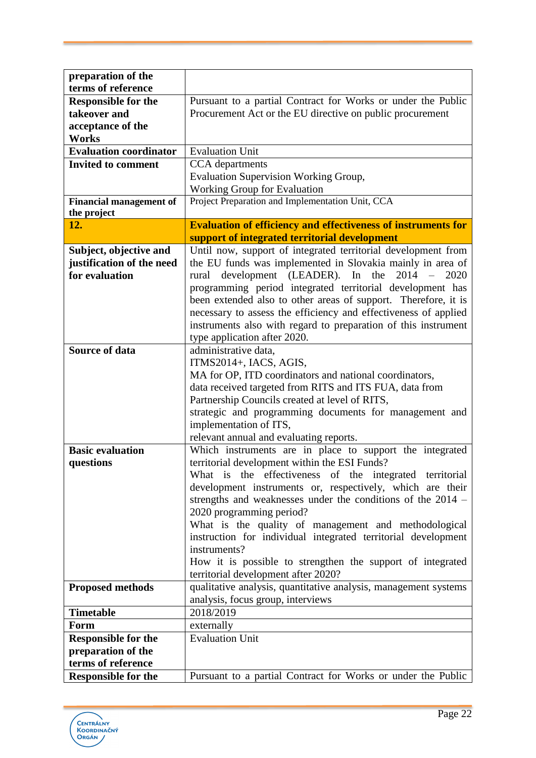| preparation of the             |                                                                                                          |
|--------------------------------|----------------------------------------------------------------------------------------------------------|
| terms of reference             |                                                                                                          |
| <b>Responsible for the</b>     | Pursuant to a partial Contract for Works or under the Public                                             |
| takeover and                   | Procurement Act or the EU directive on public procurement                                                |
| acceptance of the              |                                                                                                          |
| Works                          |                                                                                                          |
| <b>Evaluation coordinator</b>  | <b>Evaluation Unit</b>                                                                                   |
| <b>Invited to comment</b>      | CCA departments                                                                                          |
|                                | Evaluation Supervision Working Group,                                                                    |
|                                | <b>Working Group for Evaluation</b>                                                                      |
| <b>Financial management of</b> | Project Preparation and Implementation Unit, CCA                                                         |
| the project                    |                                                                                                          |
| 12.                            | <b>Evaluation of efficiency and effectiveness of instruments for</b>                                     |
|                                | support of integrated territorial development                                                            |
| Subject, objective and         | Until now, support of integrated territorial development from                                            |
| justification of the need      | the EU funds was implemented in Slovakia mainly in area of                                               |
| for evaluation                 | development (LEADER). In the<br>2014<br>2020<br>rural                                                    |
|                                | programming period integrated territorial development has                                                |
|                                | been extended also to other areas of support. Therefore, it is                                           |
|                                | necessary to assess the efficiency and effectiveness of applied                                          |
|                                | instruments also with regard to preparation of this instrument                                           |
|                                | type application after 2020.                                                                             |
| <b>Source of data</b>          | administrative data,                                                                                     |
|                                | ITMS2014+, IACS, AGIS,                                                                                   |
|                                | MA for OP, ITD coordinators and national coordinators,                                                   |
|                                | data received targeted from RITS and ITS FUA, data from                                                  |
|                                | Partnership Councils created at level of RITS,                                                           |
|                                | strategic and programming documents for management and                                                   |
|                                | implementation of ITS,                                                                                   |
|                                | relevant annual and evaluating reports.                                                                  |
| <b>Basic evaluation</b>        | Which instruments are in place to support the integrated                                                 |
| questions                      | territorial development within the ESI Funds?<br>What is the effectiveness of the integrated territorial |
|                                | development instruments or, respectively, which are their                                                |
|                                | strengths and weaknesses under the conditions of the $2014$ -                                            |
|                                | 2020 programming period?                                                                                 |
|                                | What is the quality of management and methodological                                                     |
|                                | instruction for individual integrated territorial development                                            |
|                                | instruments?                                                                                             |
|                                | How it is possible to strengthen the support of integrated                                               |
|                                | territorial development after 2020?                                                                      |
| <b>Proposed methods</b>        | qualitative analysis, quantitative analysis, management systems                                          |
|                                | analysis, focus group, interviews                                                                        |
| <b>Timetable</b>               | 2018/2019                                                                                                |
| Form                           | externally                                                                                               |
| <b>Responsible for the</b>     | <b>Evaluation Unit</b>                                                                                   |
| preparation of the             |                                                                                                          |
| terms of reference             |                                                                                                          |
| <b>Responsible for the</b>     | Pursuant to a partial Contract for Works or under the Public                                             |

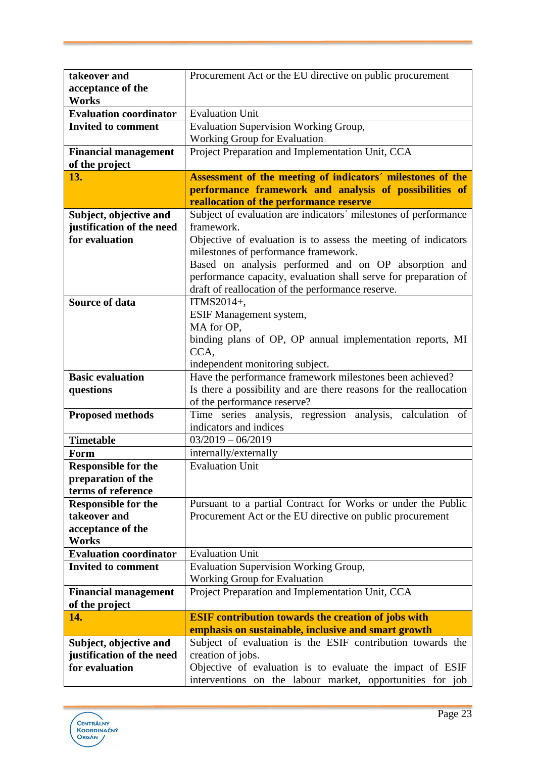| takeover and                               | Procurement Act or the EU directive on public procurement         |
|--------------------------------------------|-------------------------------------------------------------------|
| acceptance of the                          |                                                                   |
| <b>Works</b>                               |                                                                   |
| <b>Evaluation coordinator</b>              | <b>Evaluation Unit</b>                                            |
| <b>Invited to comment</b>                  | <b>Evaluation Supervision Working Group,</b>                      |
|                                            | Working Group for Evaluation                                      |
| <b>Financial management</b>                | Project Preparation and Implementation Unit, CCA                  |
| of the project                             |                                                                   |
| 13.                                        | Assessment of the meeting of indicators' milestones of the        |
|                                            | performance framework and analysis of possibilities of            |
|                                            | reallocation of the performance reserve                           |
| Subject, objective and                     | Subject of evaluation are indicators' milestones of performance   |
| justification of the need                  | framework.                                                        |
| for evaluation                             |                                                                   |
|                                            | Objective of evaluation is to assess the meeting of indicators    |
|                                            | milestones of performance framework.                              |
|                                            | Based on analysis performed and on OP absorption and              |
|                                            | performance capacity, evaluation shall serve for preparation of   |
|                                            | draft of reallocation of the performance reserve.                 |
| <b>Source of data</b>                      | ITMS2014+,                                                        |
|                                            | ESIF Management system,                                           |
|                                            | MA for OP,                                                        |
|                                            | binding plans of OP, OP annual implementation reports, MI         |
|                                            | CCA,                                                              |
|                                            | independent monitoring subject.                                   |
| <b>Basic evaluation</b>                    | Have the performance framework milestones been achieved?          |
| questions                                  | Is there a possibility and are there reasons for the reallocation |
|                                            | of the performance reserve?                                       |
| <b>Proposed methods</b>                    | Time series analysis, regression analysis, calculation of         |
|                                            | indicators and indices                                            |
| <b>Timetable</b>                           | $03/2019 - 06/2019$                                               |
| Form                                       | internally/externally                                             |
| <b>Responsible for the</b>                 | <b>Evaluation Unit</b>                                            |
| preparation of the                         |                                                                   |
| terms of reference                         |                                                                   |
|                                            |                                                                   |
| <b>Responsible for the</b><br>takeover and | Pursuant to a partial Contract for Works or under the Public      |
|                                            | Procurement Act or the EU directive on public procurement         |
| acceptance of the                          |                                                                   |
| <b>Works</b>                               |                                                                   |
| <b>Evaluation coordinator</b>              | <b>Evaluation Unit</b>                                            |
| <b>Invited to comment</b>                  | Evaluation Supervision Working Group,                             |
|                                            | <b>Working Group for Evaluation</b>                               |
| <b>Financial management</b>                | Project Preparation and Implementation Unit, CCA                  |
| of the project                             |                                                                   |
| 14.                                        | <b>ESIF contribution towards the creation of jobs with</b>        |
|                                            | emphasis on sustainable, inclusive and smart growth               |
| Subject, objective and                     | Subject of evaluation is the ESIF contribution towards the        |
| justification of the need                  | creation of jobs.                                                 |
| for evaluation                             | Objective of evaluation is to evaluate the impact of ESIF         |
|                                            | interventions on the labour market, opportunities for job         |

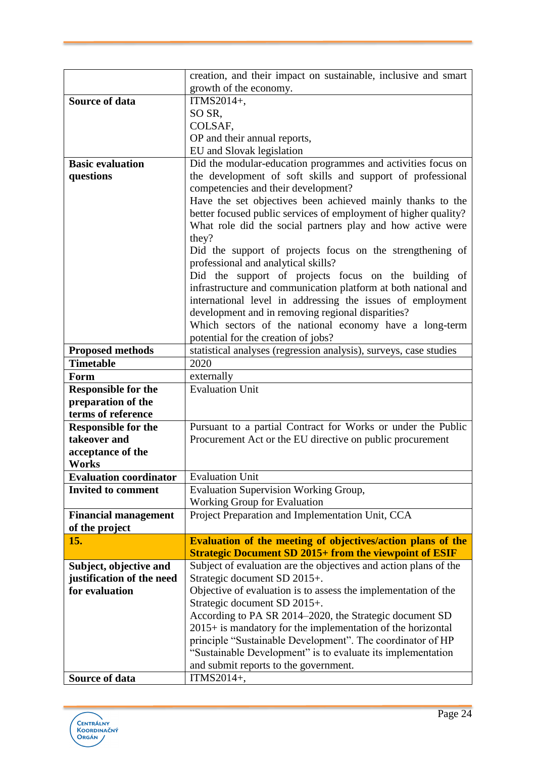|                                             | creation, and their impact on sustainable, inclusive and smart                                                               |
|---------------------------------------------|------------------------------------------------------------------------------------------------------------------------------|
|                                             | growth of the economy.                                                                                                       |
| <b>Source of data</b>                       | ITMS2014+,                                                                                                                   |
|                                             | SO SR,                                                                                                                       |
|                                             | COLSAF,                                                                                                                      |
|                                             | OP and their annual reports,                                                                                                 |
|                                             | EU and Slovak legislation                                                                                                    |
| <b>Basic evaluation</b>                     | Did the modular-education programmes and activities focus on                                                                 |
| questions                                   | the development of soft skills and support of professional                                                                   |
|                                             | competencies and their development?                                                                                          |
|                                             | Have the set objectives been achieved mainly thanks to the                                                                   |
|                                             | better focused public services of employment of higher quality?                                                              |
|                                             | What role did the social partners play and how active were                                                                   |
|                                             | they?                                                                                                                        |
|                                             | Did the support of projects focus on the strengthening of                                                                    |
|                                             | professional and analytical skills?                                                                                          |
|                                             | Did the support of projects focus on the building of                                                                         |
|                                             | infrastructure and communication platform at both national and<br>international level in addressing the issues of employment |
|                                             | development and in removing regional disparities?                                                                            |
|                                             | Which sectors of the national economy have a long-term                                                                       |
|                                             | potential for the creation of jobs?                                                                                          |
| <b>Proposed methods</b>                     | statistical analyses (regression analysis), surveys, case studies                                                            |
| <b>Timetable</b>                            | 2020                                                                                                                         |
| Form                                        | externally                                                                                                                   |
| <b>Responsible for the</b>                  | <b>Evaluation Unit</b>                                                                                                       |
| preparation of the                          |                                                                                                                              |
| terms of reference                          |                                                                                                                              |
| <b>Responsible for the</b>                  | Pursuant to a partial Contract for Works or under the Public                                                                 |
| takeover and                                | Procurement Act or the EU directive on public procurement                                                                    |
| acceptance of the                           |                                                                                                                              |
| Works                                       |                                                                                                                              |
| <b>Evaluation coordinator</b>               | <b>Evaluation Unit</b>                                                                                                       |
| <b>Invited to comment</b>                   | Evaluation Supervision Working Group,                                                                                        |
|                                             | Working Group for Evaluation                                                                                                 |
| <b>Financial management</b>                 | Project Preparation and Implementation Unit, CCA                                                                             |
| of the project                              |                                                                                                                              |
| 15.                                         | Evaluation of the meeting of objectives/action plans of the                                                                  |
|                                             | <b>Strategic Document SD 2015+ from the viewpoint of ESIF</b>                                                                |
| Subject, objective and                      | Subject of evaluation are the objectives and action plans of the                                                             |
| justification of the need<br>for evaluation | Strategic document SD 2015+.<br>Objective of evaluation is to assess the implementation of the                               |
|                                             | Strategic document SD 2015+.                                                                                                 |
|                                             | According to PA SR 2014–2020, the Strategic document SD                                                                      |
|                                             | $2015+$ is mandatory for the implementation of the horizontal                                                                |
|                                             | principle "Sustainable Development". The coordinator of HP                                                                   |
|                                             | "Sustainable Development" is to evaluate its implementation                                                                  |
|                                             | and submit reports to the government.                                                                                        |
| Source of data                              | ITMS2014+,                                                                                                                   |

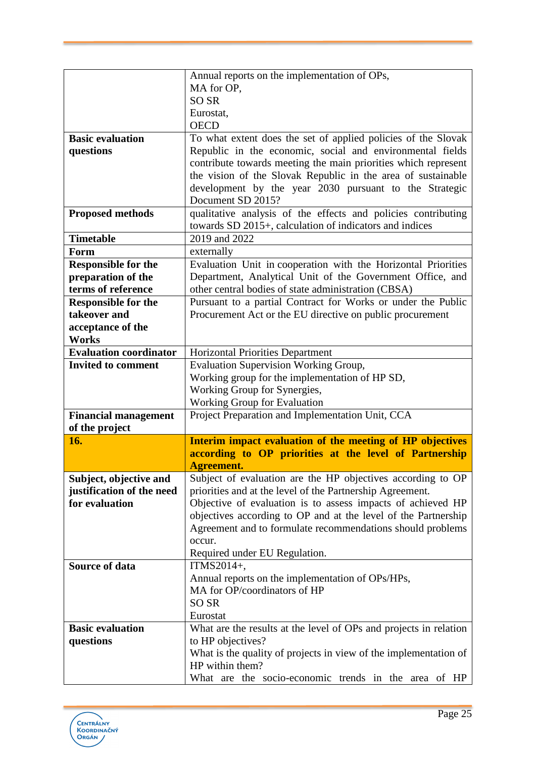|                               | Annual reports on the implementation of OPs,                                                                        |
|-------------------------------|---------------------------------------------------------------------------------------------------------------------|
|                               | MA for OP,                                                                                                          |
|                               | <b>SO SR</b>                                                                                                        |
|                               | Eurostat,                                                                                                           |
|                               | <b>OECD</b>                                                                                                         |
| <b>Basic evaluation</b>       | To what extent does the set of applied policies of the Slovak                                                       |
| questions                     | Republic in the economic, social and environmental fields                                                           |
|                               | contribute towards meeting the main priorities which represent                                                      |
|                               | the vision of the Slovak Republic in the area of sustainable                                                        |
|                               | development by the year 2030 pursuant to the Strategic                                                              |
|                               | Document SD 2015?                                                                                                   |
| <b>Proposed methods</b>       | qualitative analysis of the effects and policies contributing                                                       |
|                               | towards SD 2015+, calculation of indicators and indices                                                             |
| <b>Timetable</b>              | 2019 and 2022                                                                                                       |
| Form                          | externally                                                                                                          |
| <b>Responsible for the</b>    | Evaluation Unit in cooperation with the Horizontal Priorities                                                       |
| preparation of the            | Department, Analytical Unit of the Government Office, and                                                           |
| terms of reference            | other central bodies of state administration (CBSA)                                                                 |
| <b>Responsible for the</b>    | Pursuant to a partial Contract for Works or under the Public                                                        |
| takeover and                  | Procurement Act or the EU directive on public procurement                                                           |
| acceptance of the             |                                                                                                                     |
| <b>Works</b>                  |                                                                                                                     |
| <b>Evaluation coordinator</b> | Horizontal Priorities Department                                                                                    |
| <b>Invited to comment</b>     | <b>Evaluation Supervision Working Group,</b>                                                                        |
|                               | Working group for the implementation of HP SD,                                                                      |
|                               | Working Group for Synergies,                                                                                        |
|                               | Working Group for Evaluation                                                                                        |
| <b>Financial management</b>   | Project Preparation and Implementation Unit, CCA                                                                    |
| of the project<br>16.         |                                                                                                                     |
|                               | Interim impact evaluation of the meeting of HP objectives<br>according to OP priorities at the level of Partnership |
|                               | <b>Agreement.</b>                                                                                                   |
| Subject, objective and        | Subject of evaluation are the HP objectives according to OP                                                         |
| justification of the need     | priorities and at the level of the Partnership Agreement.                                                           |
| for evaluation                | Objective of evaluation is to assess impacts of achieved HP                                                         |
|                               | objectives according to OP and at the level of the Partnership                                                      |
|                               | Agreement and to formulate recommendations should problems                                                          |
|                               | occur.                                                                                                              |
|                               | Required under EU Regulation.                                                                                       |
| Source of data                | ITMS2014+,                                                                                                          |
|                               | Annual reports on the implementation of OPs/HPs,                                                                    |
|                               | MA for OP/coordinators of HP                                                                                        |
|                               | <b>SO SR</b>                                                                                                        |
|                               | Eurostat                                                                                                            |
| <b>Basic evaluation</b>       | What are the results at the level of OPs and projects in relation                                                   |
| questions                     | to HP objectives?                                                                                                   |
|                               | What is the quality of projects in view of the implementation of                                                    |
|                               | HP within them?                                                                                                     |
|                               |                                                                                                                     |

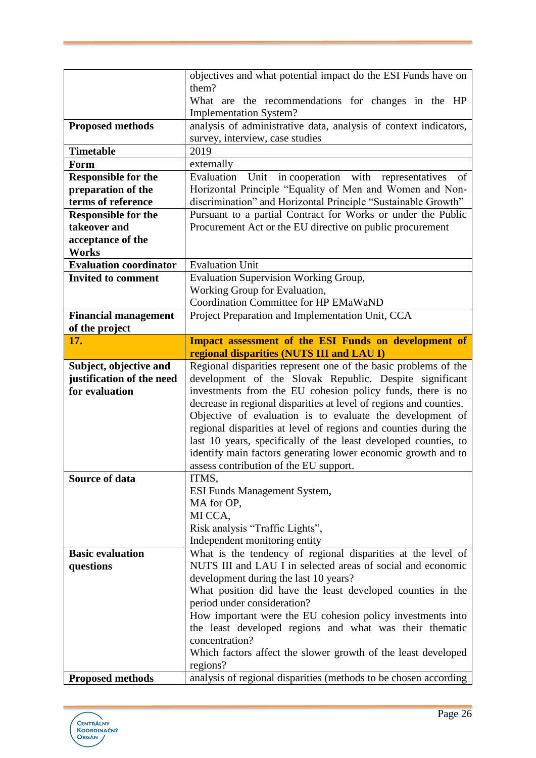|                               | objectives and what potential impact do the ESI Funds have on                |
|-------------------------------|------------------------------------------------------------------------------|
|                               | them?                                                                        |
|                               | What are the recommendations for changes in the HP                           |
|                               | <b>Implementation System?</b>                                                |
| <b>Proposed methods</b>       | analysis of administrative data, analysis of context indicators,             |
|                               | survey, interview, case studies                                              |
| <b>Timetable</b>              | 2019                                                                         |
| Form                          | externally                                                                   |
| <b>Responsible for the</b>    | Evaluation<br>Unit in cooperation with representatives<br>- of               |
| preparation of the            | Horizontal Principle "Equality of Men and Women and Non-                     |
| terms of reference            | discrimination" and Horizontal Principle "Sustainable Growth"                |
| <b>Responsible for the</b>    | Pursuant to a partial Contract for Works or under the Public                 |
| takeover and                  | Procurement Act or the EU directive on public procurement                    |
| acceptance of the             |                                                                              |
| <b>Works</b>                  |                                                                              |
| <b>Evaluation coordinator</b> | <b>Evaluation Unit</b>                                                       |
| <b>Invited to comment</b>     | <b>Evaluation Supervision Working Group,</b>                                 |
|                               | Working Group for Evaluation,                                                |
|                               | Coordination Committee for HP EMaWaND                                        |
| <b>Financial management</b>   | Project Preparation and Implementation Unit, CCA                             |
| of the project                |                                                                              |
| 17.                           | <b>Impact assessment of the ESI Funds on development of</b>                  |
|                               | regional disparities (NUTS III and LAU I)                                    |
| Subject, objective and        | Regional disparities represent one of the basic problems of the              |
| justification of the need     | development of the Slovak Republic. Despite significant                      |
|                               |                                                                              |
|                               |                                                                              |
| for evaluation                | investments from the EU cohesion policy funds, there is no                   |
|                               | decrease in regional disparities at level of regions and counties.           |
|                               | Objective of evaluation is to evaluate the development of                    |
|                               | regional disparities at level of regions and counties during the             |
|                               | last 10 years, specifically of the least developed counties, to              |
|                               | identify main factors generating lower economic growth and to                |
|                               | assess contribution of the EU support.                                       |
| Source of data                | ITMS,                                                                        |
|                               | ESI Funds Management System,                                                 |
|                               | MA for OP,                                                                   |
|                               | MI CCA,                                                                      |
|                               | Risk analysis "Traffic Lights",                                              |
|                               | Independent monitoring entity                                                |
| <b>Basic evaluation</b>       | What is the tendency of regional disparities at the level of                 |
| questions                     | NUTS III and LAU I in selected areas of social and economic                  |
|                               | development during the last 10 years?                                        |
|                               | What position did have the least developed counties in the                   |
|                               | period under consideration?                                                  |
|                               | How important were the EU cohesion policy investments into                   |
|                               | the least developed regions and what was their thematic                      |
|                               | concentration?                                                               |
|                               | Which factors affect the slower growth of the least developed                |
| <b>Proposed methods</b>       | regions?<br>analysis of regional disparities (methods to be chosen according |

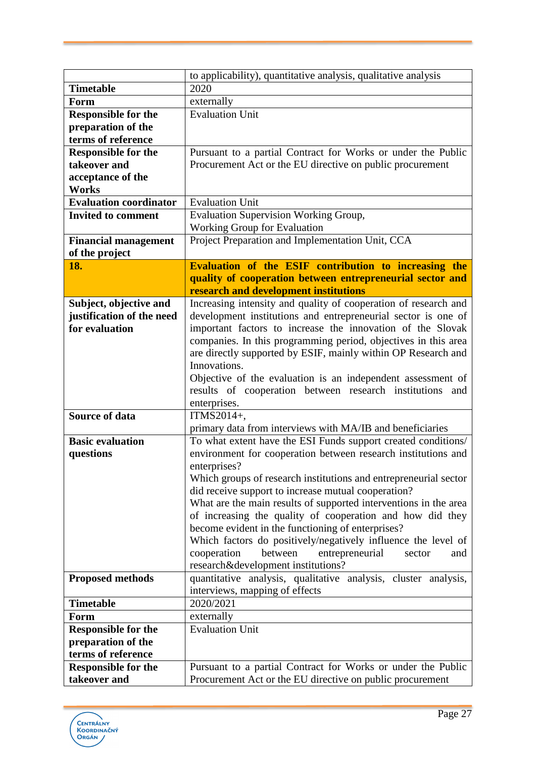|                               | to applicability), quantitative analysis, qualitative analysis   |
|-------------------------------|------------------------------------------------------------------|
| <b>Timetable</b>              | 2020                                                             |
| Form                          | externally                                                       |
| <b>Responsible for the</b>    | <b>Evaluation Unit</b>                                           |
| preparation of the            |                                                                  |
| terms of reference            |                                                                  |
| <b>Responsible for the</b>    | Pursuant to a partial Contract for Works or under the Public     |
| takeover and                  | Procurement Act or the EU directive on public procurement        |
| acceptance of the             |                                                                  |
| <b>Works</b>                  |                                                                  |
| <b>Evaluation coordinator</b> | <b>Evaluation Unit</b>                                           |
| <b>Invited to comment</b>     | Evaluation Supervision Working Group,                            |
|                               | Working Group for Evaluation                                     |
| <b>Financial management</b>   | Project Preparation and Implementation Unit, CCA                 |
| of the project                |                                                                  |
| 18.                           | Evaluation of the ESIF contribution to increasing the            |
|                               | quality of cooperation between entrepreneurial sector and        |
|                               | research and development institutions                            |
| Subject, objective and        | Increasing intensity and quality of cooperation of research and  |
| justification of the need     | development institutions and entrepreneurial sector is one of    |
| for evaluation                | important factors to increase the innovation of the Slovak       |
|                               | companies. In this programming period, objectives in this area   |
|                               | are directly supported by ESIF, mainly within OP Research and    |
|                               | Innovations.                                                     |
|                               | Objective of the evaluation is an independent assessment of      |
|                               | results of cooperation between research institutions and         |
|                               | enterprises.                                                     |
| <b>Source of data</b>         | ITMS2014+,                                                       |
|                               | primary data from interviews with MA/IB and beneficiaries        |
| <b>Basic evaluation</b>       | To what extent have the ESI Funds support created conditions/    |
| questions                     | environment for cooperation between research institutions and    |
|                               | enterprises?                                                     |
|                               | Which groups of research institutions and entrepreneurial sector |
|                               | did receive support to increase mutual cooperation?              |
|                               | What are the main results of supported interventions in the area |
|                               | of increasing the quality of cooperation and how did they        |
|                               | become evident in the functioning of enterprises?                |
|                               | Which factors do positively/negatively influence the level of    |
|                               | cooperation<br>between<br>entrepreneurial<br>sector<br>and       |
|                               | research&development institutions?                               |
| <b>Proposed methods</b>       | quantitative analysis, qualitative analysis, cluster analysis,   |
|                               | interviews, mapping of effects                                   |
| <b>Timetable</b>              | 2020/2021                                                        |
| Form                          | externally                                                       |
| <b>Responsible for the</b>    | <b>Evaluation Unit</b>                                           |
| preparation of the            |                                                                  |
| terms of reference            |                                                                  |
| <b>Responsible for the</b>    | Pursuant to a partial Contract for Works or under the Public     |
| takeover and                  | Procurement Act or the EU directive on public procurement        |

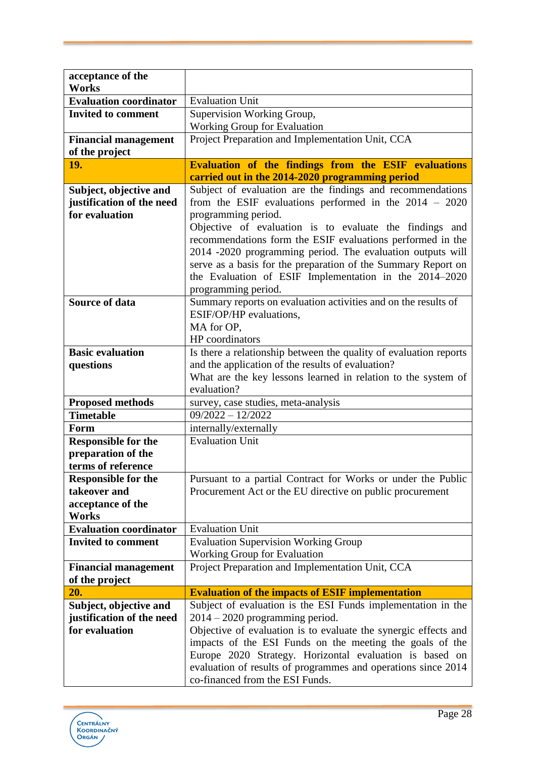| acceptance of the<br>Works    |                                                                                                                          |
|-------------------------------|--------------------------------------------------------------------------------------------------------------------------|
| <b>Evaluation coordinator</b> | <b>Evaluation Unit</b>                                                                                                   |
| <b>Invited to comment</b>     | Supervision Working Group,                                                                                               |
|                               | <b>Working Group for Evaluation</b>                                                                                      |
| <b>Financial management</b>   | Project Preparation and Implementation Unit, CCA                                                                         |
| of the project                |                                                                                                                          |
| 19.                           | <b>Evaluation of the findings from the ESIF evaluations</b>                                                              |
|                               | carried out in the 2014-2020 programming period                                                                          |
| Subject, objective and        | Subject of evaluation are the findings and recommendations                                                               |
| justification of the need     | from the ESIF evaluations performed in the $2014 - 2020$                                                                 |
| for evaluation                | programming period.                                                                                                      |
|                               | Objective of evaluation is to evaluate the findings and                                                                  |
|                               | recommendations form the ESIF evaluations performed in the                                                               |
|                               | 2014 -2020 programming period. The evaluation outputs will                                                               |
|                               | serve as a basis for the preparation of the Summary Report on                                                            |
|                               | the Evaluation of ESIF Implementation in the 2014-2020                                                                   |
|                               | programming period.                                                                                                      |
| <b>Source of data</b>         | Summary reports on evaluation activities and on the results of                                                           |
|                               | ESIF/OP/HP evaluations.                                                                                                  |
|                               | MA for OP,                                                                                                               |
|                               | HP coordinators                                                                                                          |
| <b>Basic evaluation</b>       | Is there a relationship between the quality of evaluation reports                                                        |
| questions                     | and the application of the results of evaluation?                                                                        |
|                               | What are the key lessons learned in relation to the system of<br>evaluation?                                             |
| <b>Proposed methods</b>       | survey, case studies, meta-analysis                                                                                      |
| <b>Timetable</b>              | $09/2022 - 12/2022$                                                                                                      |
| Form                          | internally/externally                                                                                                    |
| <b>Responsible for the</b>    | <b>Evaluation Unit</b>                                                                                                   |
| preparation of the            |                                                                                                                          |
| terms of reference            |                                                                                                                          |
| <b>Responsible for the</b>    | Pursuant to a partial Contract for Works or under the Public                                                             |
| takeover and                  | Procurement Act or the EU directive on public procurement                                                                |
| acceptance of the             |                                                                                                                          |
| Works                         |                                                                                                                          |
| <b>Evaluation coordinator</b> | <b>Evaluation Unit</b>                                                                                                   |
| <b>Invited to comment</b>     | <b>Evaluation Supervision Working Group</b>                                                                              |
|                               |                                                                                                                          |
|                               | Working Group for Evaluation                                                                                             |
| <b>Financial management</b>   | Project Preparation and Implementation Unit, CCA                                                                         |
| of the project                |                                                                                                                          |
| 20.                           | <b>Evaluation of the impacts of ESIF implementation</b>                                                                  |
| Subject, objective and        | Subject of evaluation is the ESI Funds implementation in the                                                             |
| justification of the need     | $2014 - 2020$ programming period.                                                                                        |
| for evaluation                | Objective of evaluation is to evaluate the synergic effects and                                                          |
|                               | impacts of the ESI Funds on the meeting the goals of the                                                                 |
|                               | Europe 2020 Strategy. Horizontal evaluation is based on<br>evaluation of results of programmes and operations since 2014 |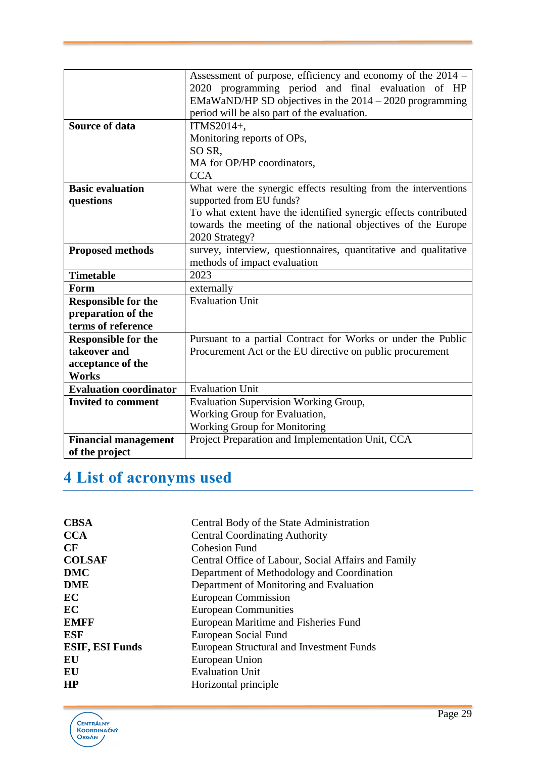|                               | Assessment of purpose, efficiency and economy of the 2014 -     |
|-------------------------------|-----------------------------------------------------------------|
|                               | 2020 programming period and final evaluation of HP              |
|                               | EMaWaND/HP SD objectives in the 2014 - 2020 programming         |
|                               | period will be also part of the evaluation.                     |
| <b>Source of data</b>         | ITMS2014+,                                                      |
|                               | Monitoring reports of OPs,                                      |
|                               | SO SR,                                                          |
|                               | MA for OP/HP coordinators,                                      |
|                               | <b>CCA</b>                                                      |
| <b>Basic evaluation</b>       | What were the synergic effects resulting from the interventions |
| questions                     | supported from EU funds?                                        |
|                               | To what extent have the identified synergic effects contributed |
|                               | towards the meeting of the national objectives of the Europe    |
|                               | 2020 Strategy?                                                  |
| <b>Proposed methods</b>       | survey, interview, questionnaires, quantitative and qualitative |
|                               | methods of impact evaluation                                    |
| <b>Timetable</b>              | 2023                                                            |
| Form                          | externally                                                      |
| <b>Responsible for the</b>    | <b>Evaluation Unit</b>                                          |
| preparation of the            |                                                                 |
| terms of reference            |                                                                 |
| <b>Responsible for the</b>    | Pursuant to a partial Contract for Works or under the Public    |
| takeover and                  | Procurement Act or the EU directive on public procurement       |
| acceptance of the             |                                                                 |
| <b>Works</b>                  |                                                                 |
| <b>Evaluation coordinator</b> | <b>Evaluation Unit</b>                                          |
| <b>Invited to comment</b>     | Evaluation Supervision Working Group,                           |
|                               | Working Group for Evaluation,                                   |
|                               | Working Group for Monitoring                                    |
| <b>Financial management</b>   | Project Preparation and Implementation Unit, CCA                |
| of the project                |                                                                 |

# <span id="page-29-0"></span>**4 List of acronyms used**

| <b>CBSA</b>            | Central Body of the State Administration            |
|------------------------|-----------------------------------------------------|
| <b>CCA</b>             | <b>Central Coordinating Authority</b>               |
| CF                     | <b>Cohesion Fund</b>                                |
| <b>COLSAF</b>          | Central Office of Labour, Social Affairs and Family |
| <b>DMC</b>             | Department of Methodology and Coordination          |
| <b>DME</b>             | Department of Monitoring and Evaluation             |
| EC                     | European Commission                                 |
| EC                     | <b>European Communities</b>                         |
| <b>EMFF</b>            | European Maritime and Fisheries Fund                |
| ESF                    | European Social Fund                                |
| <b>ESIF, ESI Funds</b> | European Structural and Investment Funds            |
| EU                     | European Union                                      |
| EU                     | <b>Evaluation Unit</b>                              |
| <b>HP</b>              | Horizontal principle                                |
|                        |                                                     |